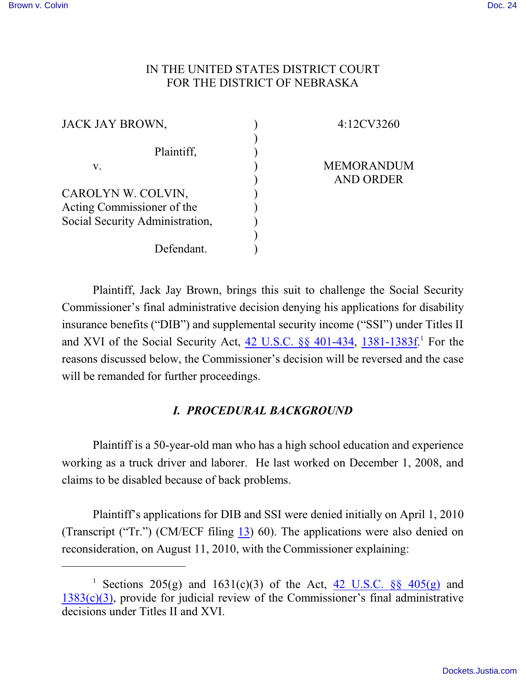## IN THE UNITED STATES DISTRICT COURT FOR THE DISTRICT OF NEBRASKA

| JACK JAY BROWN,                 |  |
|---------------------------------|--|
| Plaintiff,                      |  |
| V.                              |  |
| CAROLYN W. COLVIN,              |  |
| Acting Commissioner of the      |  |
| Social Security Administration, |  |
|                                 |  |
| Defendant.                      |  |

4:12CV3260

MEMORANDUM AND ORDER

Plaintiff, Jack Jay Brown, brings this suit to challenge the Social Security Commissioner's final administrative decision denying his applications for disability insurance benefits ("DIB") and supplemental security income ("SSI") under Titles II and XVI of the Social Security Act, [42 U.S.C. §§ 401-434](https://web2.westlaw.com/find/default.wl?rs=WLW11.07&rp=%2ffind%2fdefault.wl&vr=2.0&fn=_top&mt=Westlaw&cite=42+U.S.C.+401+&sv=Split), [1381-1383f](https://web2.westlaw.com/find/default.wl?rs=WLW11.07&rp=%2ffind%2fdefault.wl&vr=2.0&fn=_top&mt=Westlaw&cite=42usc1381&sv=Split).<sup>1</sup> For the reasons discussed below, the Commissioner's decision will be reversed and the case will be remanded for further proceedings.

### *I. PROCEDURAL BACKGROUND*

Plaintiff is a 50-year-old man who has a high school education and experience working as a truck driver and laborer. He last worked on December 1, 2008, and claims to be disabled because of back problems.

Plaintiff's applications for DIB and SSI were denied initially on April 1, 2010 (Transcript ("Tr.") (CM/ECF filing [13](https://ecf.ned.uscourts.gov/doc1/11302740946)) 60). The applications were also denied on reconsideration, on August 11, 2010, with the Commissioner explaining:

<sup>&</sup>lt;sup>1</sup> Sections 205(g) and 1631(c)(3) of the Act,  $\frac{42 \text{ U.S.C.}}{88}$   $\frac{405(\text{g})}{400}$  and  $1383(c)(3)$ , provide for judicial review of the Commissioner's final administrative decisions under Titles II and XVI.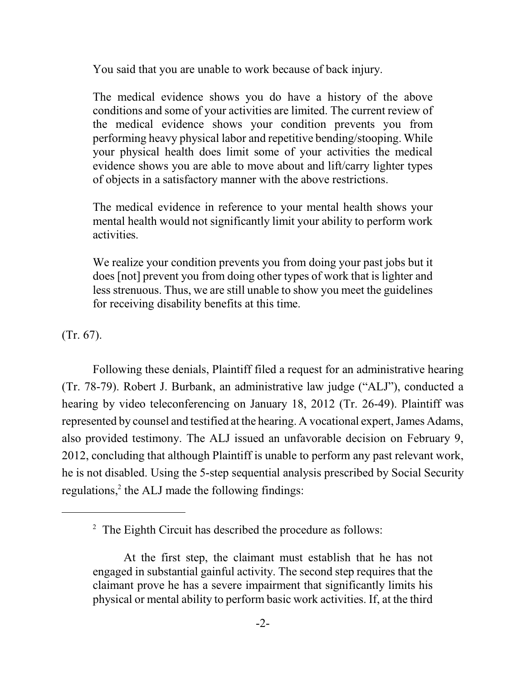You said that you are unable to work because of back injury.

The medical evidence shows you do have a history of the above conditions and some of your activities are limited. The current review of the medical evidence shows your condition prevents you from performing heavy physical labor and repetitive bending/stooping. While your physical health does limit some of your activities the medical evidence shows you are able to move about and lift/carry lighter types of objects in a satisfactory manner with the above restrictions.

The medical evidence in reference to your mental health shows your mental health would not significantly limit your ability to perform work activities.

We realize your condition prevents you from doing your past jobs but it does [not] prevent you from doing other types of work that is lighter and less strenuous. Thus, we are still unable to show you meet the guidelines for receiving disability benefits at this time.

(Tr. 67).

Following these denials, Plaintiff filed a request for an administrative hearing (Tr. 78-79). Robert J. Burbank, an administrative law judge ("ALJ"), conducted a hearing by video teleconferencing on January 18, 2012 (Tr. 26-49). Plaintiff was represented by counsel and testified at the hearing. A vocational expert, James Adams, also provided testimony. The ALJ issued an unfavorable decision on February 9, 2012, concluding that although Plaintiff is unable to perform any past relevant work, he is not disabled. Using the 5-step sequential analysis prescribed by Social Security regulations, $2$  the ALJ made the following findings:

 $2$  The Eighth Circuit has described the procedure as follows:

At the first step, the claimant must establish that he has not engaged in substantial gainful activity. The second step requires that the claimant prove he has a severe impairment that significantly limits his physical or mental ability to perform basic work activities. If, at the third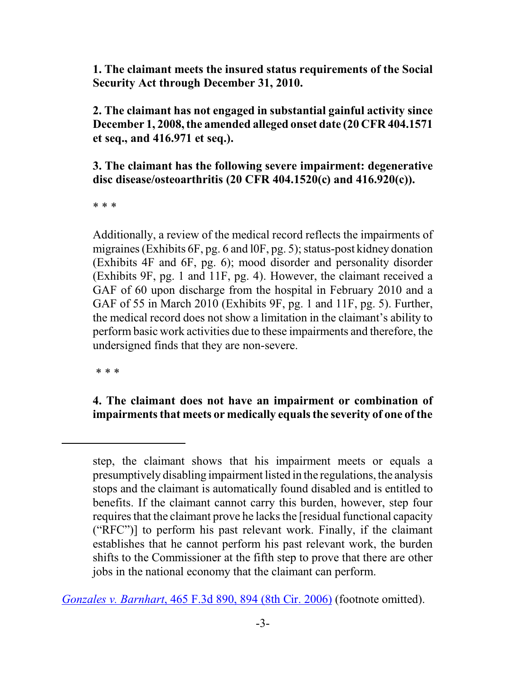**1. The claimant meets the insured status requirements of the Social Security Act through December 31, 2010.**

**2. The claimant has not engaged in substantial gainful activity since December 1, 2008, the amended alleged onset date (20 CFR 404.1571 et seq., and 416.971 et seq.).**

**3. The claimant has the following severe impairment: degenerative disc disease/osteoarthritis (20 CFR 404.1520(c) and 416.920(c)).**

\* \* \*

Additionally, a review of the medical record reflects the impairments of migraines (Exhibits 6F, pg. 6 and l0F, pg. 5); status-post kidney donation (Exhibits 4F and 6F, pg. 6); mood disorder and personality disorder (Exhibits 9F, pg. 1 and 11F, pg. 4). However, the claimant received a GAF of 60 upon discharge from the hospital in February 2010 and a GAF of 55 in March 2010 (Exhibits 9F, pg. 1 and 11F, pg. 5). Further, the medical record does not show a limitation in the claimant's ability to perform basic work activities due to these impairments and therefore, the undersigned finds that they are non-severe.

\* \* \*

# **4. The claimant does not have an impairment or combination of impairments that meets or medically equals the severity of one of the**

*Gonzales v. Barnhart*[, 465 F.3d 890, 894 \(8th Cir. 2006\)](https://web2.westlaw.com/find/default.wl?rs=WLW11.07&rp=%2ffind%2fdefault.wl&vr=2.0&fn=_top&mt=Westlaw&cite=465+F.3d+894+&sv=Split) (footnote omitted).

step, the claimant shows that his impairment meets or equals a presumptively disabling impairment listed in the regulations, the analysis stops and the claimant is automatically found disabled and is entitled to benefits. If the claimant cannot carry this burden, however, step four requires that the claimant prove he lacks the [residual functional capacity ("RFC")] to perform his past relevant work. Finally, if the claimant establishes that he cannot perform his past relevant work, the burden shifts to the Commissioner at the fifth step to prove that there are other jobs in the national economy that the claimant can perform.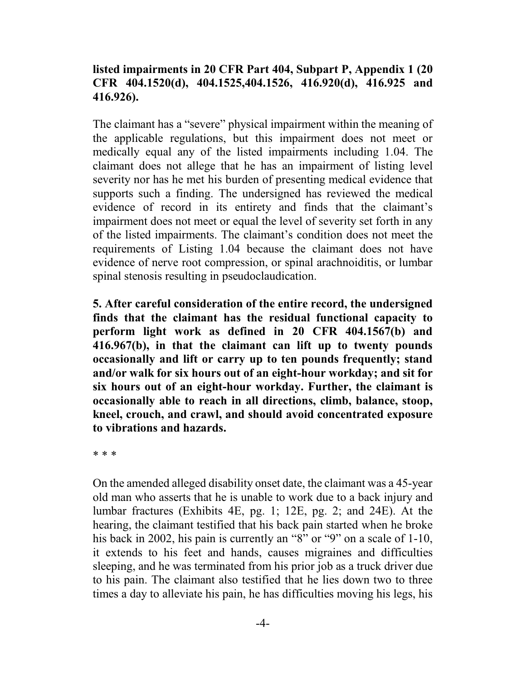# **listed impairments in 20 CFR Part 404, Subpart P, Appendix 1 (20 CFR 404.1520(d), 404.1525,404.1526, 416.920(d), 416.925 and 416.926).**

The claimant has a "severe" physical impairment within the meaning of the applicable regulations, but this impairment does not meet or medically equal any of the listed impairments including 1.04. The claimant does not allege that he has an impairment of listing level severity nor has he met his burden of presenting medical evidence that supports such a finding. The undersigned has reviewed the medical evidence of record in its entirety and finds that the claimant's impairment does not meet or equal the level of severity set forth in any of the listed impairments. The claimant's condition does not meet the requirements of Listing 1.04 because the claimant does not have evidence of nerve root compression, or spinal arachnoiditis, or lumbar spinal stenosis resulting in pseudoclaudication.

**5. After careful consideration of the entire record, the undersigned finds that the claimant has the residual functional capacity to perform light work as defined in 20 CFR 404.1567(b) and 416.967(b), in that the claimant can lift up to twenty pounds occasionally and lift or carry up to ten pounds frequently; stand and/or walk for six hours out of an eight-hour workday; and sit for six hours out of an eight-hour workday. Further, the claimant is occasionally able to reach in all directions, climb, balance, stoop, kneel, crouch, and crawl, and should avoid concentrated exposure to vibrations and hazards.**

\* \* \*

On the amended alleged disability onset date, the claimant was a 45-year old man who asserts that he is unable to work due to a back injury and lumbar fractures (Exhibits 4E, pg. 1; 12E, pg. 2; and 24E). At the hearing, the claimant testified that his back pain started when he broke his back in 2002, his pain is currently an "8" or "9" on a scale of 1-10, it extends to his feet and hands, causes migraines and difficulties sleeping, and he was terminated from his prior job as a truck driver due to his pain. The claimant also testified that he lies down two to three times a day to alleviate his pain, he has difficulties moving his legs, his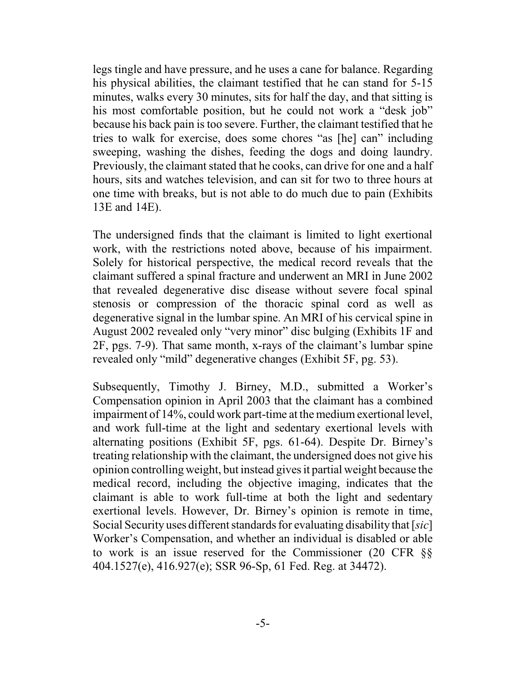legs tingle and have pressure, and he uses a cane for balance. Regarding his physical abilities, the claimant testified that he can stand for 5-15 minutes, walks every 30 minutes, sits for half the day, and that sitting is his most comfortable position, but he could not work a "desk job" because his back pain is too severe. Further, the claimant testified that he tries to walk for exercise, does some chores "as [he] can" including sweeping, washing the dishes, feeding the dogs and doing laundry. Previously, the claimant stated that he cooks, can drive for one and a half hours, sits and watches television, and can sit for two to three hours at one time with breaks, but is not able to do much due to pain (Exhibits 13E and 14E).

The undersigned finds that the claimant is limited to light exertional work, with the restrictions noted above, because of his impairment. Solely for historical perspective, the medical record reveals that the claimant suffered a spinal fracture and underwent an MRI in June 2002 that revealed degenerative disc disease without severe focal spinal stenosis or compression of the thoracic spinal cord as well as degenerative signal in the lumbar spine. An MRI of his cervical spine in August 2002 revealed only "very minor" disc bulging (Exhibits 1F and 2F, pgs. 7-9). That same month, x-rays of the claimant's lumbar spine revealed only "mild" degenerative changes (Exhibit 5F, pg. 53).

Subsequently, Timothy J. Birney, M.D., submitted a Worker's Compensation opinion in April 2003 that the claimant has a combined impairment of 14%, could work part-time at the medium exertional level, and work full-time at the light and sedentary exertional levels with alternating positions (Exhibit 5F, pgs. 61-64). Despite Dr. Birney's treating relationship with the claimant, the undersigned does not give his opinion controlling weight, but instead givesit partial weight because the medical record, including the objective imaging, indicates that the claimant is able to work full-time at both the light and sedentary exertional levels. However, Dr. Birney's opinion is remote in time, Social Security uses different standards for evaluating disability that [*sic*] Worker's Compensation, and whether an individual is disabled or able to work is an issue reserved for the Commissioner (20 CFR §§ 404.1527(e), 416.927(e); SSR 96-Sp, 61 Fed. Reg. at 34472).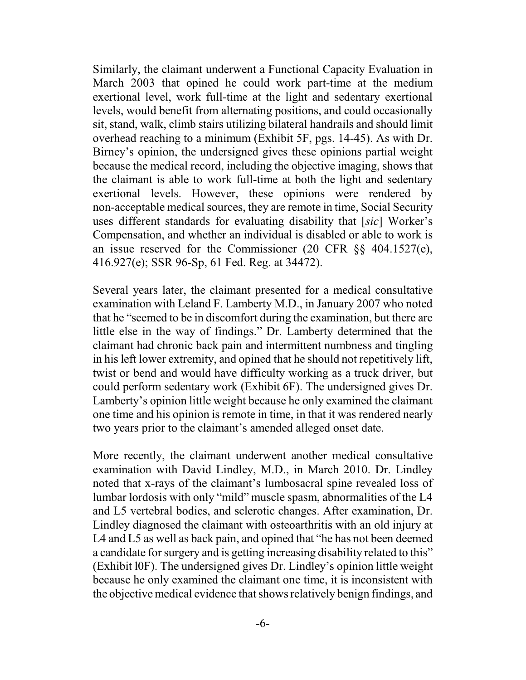Similarly, the claimant underwent a Functional Capacity Evaluation in March 2003 that opined he could work part-time at the medium exertional level, work full-time at the light and sedentary exertional levels, would benefit from alternating positions, and could occasionally sit, stand, walk, climb stairs utilizing bilateral handrails and should limit overhead reaching to a minimum (Exhibit 5F, pgs. 14-45). As with Dr. Birney's opinion, the undersigned gives these opinions partial weight because the medical record, including the objective imaging, shows that the claimant is able to work full-time at both the light and sedentary exertional levels. However, these opinions were rendered by non-acceptable medical sources, they are remote in time, Social Security uses different standards for evaluating disability that [*sic*] Worker's Compensation, and whether an individual is disabled or able to work is an issue reserved for the Commissioner (20 CFR §§ 404.1527(e), 416.927(e); SSR 96-Sp, 61 Fed. Reg. at 34472).

Several years later, the claimant presented for a medical consultative examination with Leland F. Lamberty M.D., in January 2007 who noted that he "seemed to be in discomfort during the examination, but there are little else in the way of findings." Dr. Lamberty determined that the claimant had chronic back pain and intermittent numbness and tingling in his left lower extremity, and opined that he should not repetitively lift, twist or bend and would have difficulty working as a truck driver, but could perform sedentary work (Exhibit 6F). The undersigned gives Dr. Lamberty's opinion little weight because he only examined the claimant one time and his opinion is remote in time, in that it was rendered nearly two years prior to the claimant's amended alleged onset date.

More recently, the claimant underwent another medical consultative examination with David Lindley, M.D., in March 2010. Dr. Lindley noted that x-rays of the claimant's lumbosacral spine revealed loss of lumbar lordosis with only "mild" muscle spasm, abnormalities of the L4 and L5 vertebral bodies, and sclerotic changes. After examination, Dr. Lindley diagnosed the claimant with osteoarthritis with an old injury at L4 and L5 as well as back pain, and opined that "he has not been deemed a candidate for surgery and is getting increasing disability related to this" (Exhibit l0F). The undersigned gives Dr. Lindley's opinion little weight because he only examined the claimant one time, it is inconsistent with the objective medical evidence that shows relatively benign findings, and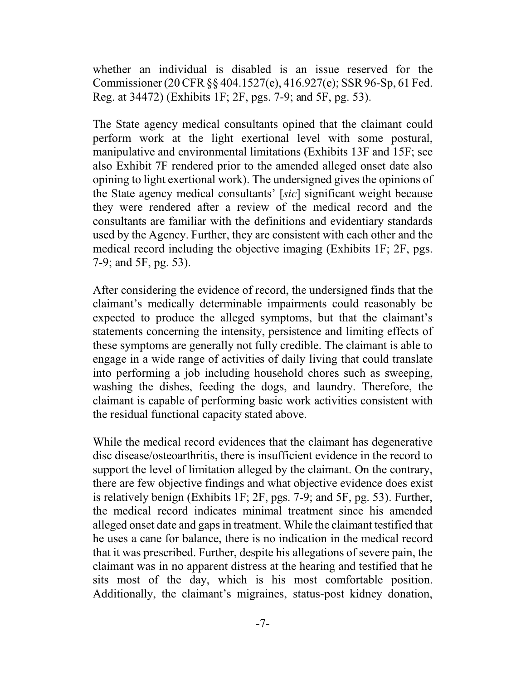whether an individual is disabled is an issue reserved for the Commissioner (20 CFR§§ 404.1527(e), 416.927(e); SSR96-Sp, 61 Fed. Reg. at 34472) (Exhibits 1F; 2F, pgs. 7-9; and 5F, pg. 53).

The State agency medical consultants opined that the claimant could perform work at the light exertional level with some postural, manipulative and environmental limitations (Exhibits 13F and 15F; see also Exhibit 7F rendered prior to the amended alleged onset date also opining to light exertional work). The undersigned gives the opinions of the State agency medical consultants' [*sic*] significant weight because they were rendered after a review of the medical record and the consultants are familiar with the definitions and evidentiary standards used by the Agency. Further, they are consistent with each other and the medical record including the objective imaging (Exhibits 1F; 2F, pgs. 7-9; and 5F, pg. 53).

After considering the evidence of record, the undersigned finds that the claimant's medically determinable impairments could reasonably be expected to produce the alleged symptoms, but that the claimant's statements concerning the intensity, persistence and limiting effects of these symptoms are generally not fully credible. The claimant is able to engage in a wide range of activities of daily living that could translate into performing a job including household chores such as sweeping, washing the dishes, feeding the dogs, and laundry. Therefore, the claimant is capable of performing basic work activities consistent with the residual functional capacity stated above.

While the medical record evidences that the claimant has degenerative disc disease/osteoarthritis, there is insufficient evidence in the record to support the level of limitation alleged by the claimant. On the contrary, there are few objective findings and what objective evidence does exist is relatively benign (Exhibits 1F; 2F, pgs. 7-9; and 5F, pg. 53). Further, the medical record indicates minimal treatment since his amended alleged onset date and gaps in treatment. While the claimant testified that he uses a cane for balance, there is no indication in the medical record that it was prescribed. Further, despite his allegations of severe pain, the claimant was in no apparent distress at the hearing and testified that he sits most of the day, which is his most comfortable position. Additionally, the claimant's migraines, status-post kidney donation,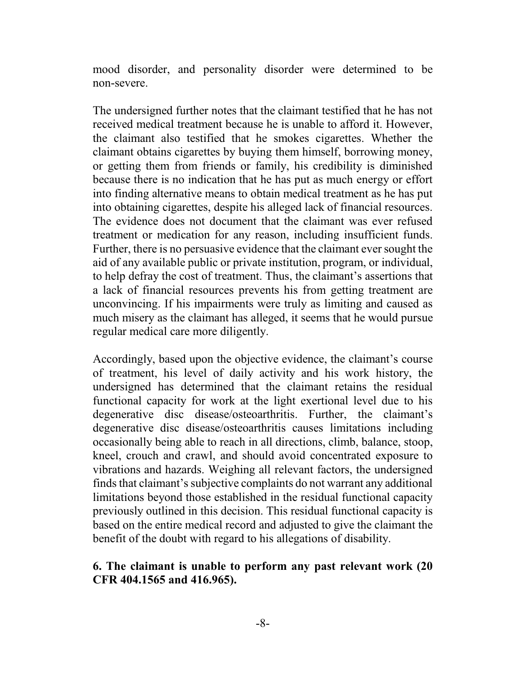mood disorder, and personality disorder were determined to be non-severe.

The undersigned further notes that the claimant testified that he has not received medical treatment because he is unable to afford it. However, the claimant also testified that he smokes cigarettes. Whether the claimant obtains cigarettes by buying them himself, borrowing money, or getting them from friends or family, his credibility is diminished because there is no indication that he has put as much energy or effort into finding alternative means to obtain medical treatment as he has put into obtaining cigarettes, despite his alleged lack of financial resources. The evidence does not document that the claimant was ever refused treatment or medication for any reason, including insufficient funds. Further, there is no persuasive evidence that the claimant ever sought the aid of any available public or private institution, program, or individual, to help defray the cost of treatment. Thus, the claimant's assertions that a lack of financial resources prevents his from getting treatment are unconvincing. If his impairments were truly as limiting and caused as much misery as the claimant has alleged, it seems that he would pursue regular medical care more diligently.

Accordingly, based upon the objective evidence, the claimant's course of treatment, his level of daily activity and his work history, the undersigned has determined that the claimant retains the residual functional capacity for work at the light exertional level due to his degenerative disc disease/osteoarthritis. Further, the claimant's degenerative disc disease/osteoarthritis causes limitations including occasionally being able to reach in all directions, climb, balance, stoop, kneel, crouch and crawl, and should avoid concentrated exposure to vibrations and hazards. Weighing all relevant factors, the undersigned finds that claimant's subjective complaints do not warrant any additional limitations beyond those established in the residual functional capacity previously outlined in this decision. This residual functional capacity is based on the entire medical record and adjusted to give the claimant the benefit of the doubt with regard to his allegations of disability.

### **6. The claimant is unable to perform any past relevant work (20 CFR 404.1565 and 416.965).**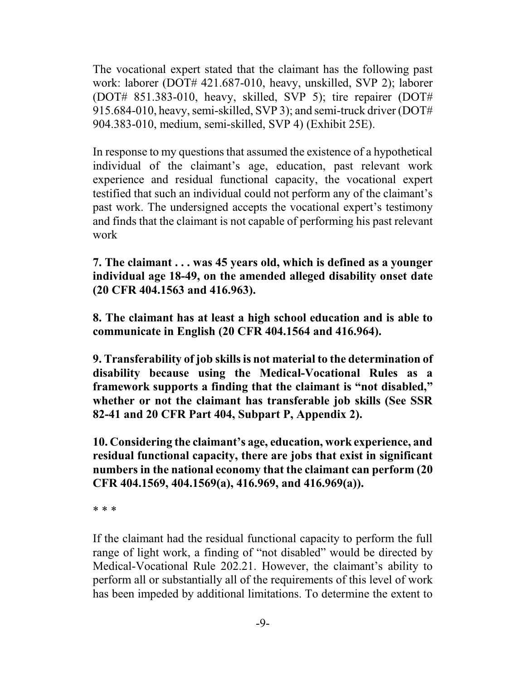The vocational expert stated that the claimant has the following past work: laborer (DOT# 421.687-010, heavy, unskilled, SVP 2); laborer (DOT# 851.383-010, heavy, skilled, SVP 5); tire repairer (DOT# 915.684-010, heavy, semi-skilled, SVP 3); and semi-truck driver (DOT# 904.383-010, medium, semi-skilled, SVP 4) (Exhibit 25E).

In response to my questions that assumed the existence of a hypothetical individual of the claimant's age, education, past relevant work experience and residual functional capacity, the vocational expert testified that such an individual could not perform any of the claimant's past work. The undersigned accepts the vocational expert's testimony and finds that the claimant is not capable of performing his past relevant work

**7. The claimant . . . was 45 years old, which is defined as a younger individual age 18-49, on the amended alleged disability onset date (20 CFR 404.1563 and 416.963).**

**8. The claimant has at least a high school education and is able to communicate in English (20 CFR 404.1564 and 416.964).**

**9. Transferability of job skills is not material to the determination of disability because using the Medical-Vocational Rules as a framework supports a finding that the claimant is "not disabled," whether or not the claimant has transferable job skills (See SSR 82-41 and 20 CFR Part 404, Subpart P, Appendix 2).**

**10. Considering the claimant's age, education, work experience, and residual functional capacity, there are jobs that exist in significant numbers in the national economy that the claimant can perform (20 CFR 404.1569, 404.1569(a), 416.969, and 416.969(a)).**

\* \* \*

If the claimant had the residual functional capacity to perform the full range of light work, a finding of "not disabled" would be directed by Medical-Vocational Rule 202.21. However, the claimant's ability to perform all or substantially all of the requirements of this level of work has been impeded by additional limitations. To determine the extent to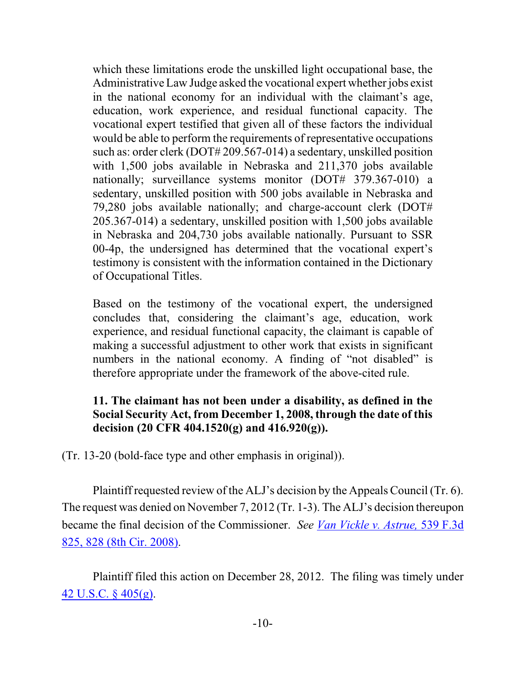which these limitations erode the unskilled light occupational base, the AdministrativeLaw Judge asked the vocational expert whether jobs exist in the national economy for an individual with the claimant's age, education, work experience, and residual functional capacity. The vocational expert testified that given all of these factors the individual would be able to perform the requirements of representative occupations such as: order clerk (DOT# 209.567-014) a sedentary, unskilled position with 1,500 jobs available in Nebraska and 211,370 jobs available nationally; surveillance systems monitor (DOT# 379.367-010) a sedentary, unskilled position with 500 jobs available in Nebraska and 79,280 jobs available nationally; and charge-account clerk (DOT# 205.367-014) a sedentary, unskilled position with 1,500 jobs available in Nebraska and 204,730 jobs available nationally. Pursuant to SSR 00-4p, the undersigned has determined that the vocational expert's testimony is consistent with the information contained in the Dictionary of Occupational Titles.

Based on the testimony of the vocational expert, the undersigned concludes that, considering the claimant's age, education, work experience, and residual functional capacity, the claimant is capable of making a successful adjustment to other work that exists in significant numbers in the national economy. A finding of "not disabled" is therefore appropriate under the framework of the above-cited rule.

# **11. The claimant has not been under a disability, as defined in the Social Security Act, from December 1, 2008, through the date of this decision (20 CFR 404.1520(g) and 416.920(g)).**

(Tr. 13-20 (bold-face type and other emphasis in original)).

Plaintiff requested review of the ALJ's decision by the Appeals Council (Tr. 6). The request was denied on November 7, 2012 (Tr. 1-3). The ALJ's decision thereupon became the final decision of the Commissioner. *See [Van Vickle](http://web2.westlaw.com/find/default.wl?rp=%2ffind%2fdefault.wl&sv=Split&utid=3&rs=WLW11.10&cite=539+F.3d+828+&fn=_top&mt=EighthCircuit&vr=2.0) v. Astrue,* 539 F.3d [825, 828 \(8th Cir. 2008\)](http://web2.westlaw.com/find/default.wl?rp=%2ffind%2fdefault.wl&sv=Split&utid=3&rs=WLW11.10&cite=539+F.3d+828+&fn=_top&mt=EighthCircuit&vr=2.0).

Plaintiff filed this action on December 28, 2012. The filing was timely under [42 U.S.C. § 405\(g\)](https://web2.westlaw.com/result/result.aspx?ss=CNT&mt=Westlaw&n=1&cnt=DOC&rlt=CLID_FQRLT1611505515169&scxt=WL&service=Find&fmqv=c&rp=%2fFind%2fdefault.wl&vr=2.0&rlti=1&sv=Split&fn=_top&cite=42usc405&rs=WLW11.07).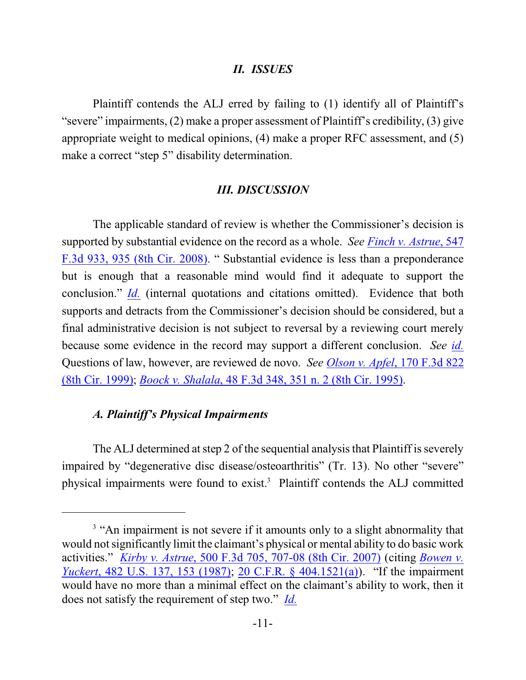#### *II. ISSUES*

Plaintiff contends the ALJ erred by failing to (1) identify all of Plaintiff's "severe" impairments, (2) make a proper assessment of Plaintiff's credibility, (3) give appropriate weight to medical opinions, (4) make a proper RFC assessment, and (5) make a correct "step 5" disability determination.

#### *III. DISCUSSION*

The applicable standard of review is whether the Commissioner's decision is supported by substantial evidence on the record as a whole. *See [Finch v. Astrue](https://web2.westlaw.com/find/default.wl?rs=WLW11.07&rp=%2ffind%2fdefault.wl&vr=2.0&fn=_top&mt=Westlaw&cite=+547+F.3d+935+&sv=Split)*, 547 [F.3d 933, 935 \(8th Cir. 2008\)](https://web2.westlaw.com/find/default.wl?rs=WLW11.07&rp=%2ffind%2fdefault.wl&vr=2.0&fn=_top&mt=Westlaw&cite=+547+F.3d+935+&sv=Split). " Substantial evidence is less than a preponderance but is enough that a reasonable mind would find it adequate to support the conclusion." *[Id.](https://web2.westlaw.com/find/default.wl?rs=WLW11.07&rp=%2ffind%2fdefault.wl&vr=2.0&fn=_top&mt=Westlaw&cite=+547+F.3d+935+&sv=Split)* (internal quotations and citations omitted). Evidence that both supports and detracts from the Commissioner's decision should be considered, but a final administrative decision is not subject to reversal by a reviewing court merely because some evidence in the record may support a different conclusion. *See [id.](https://web2.westlaw.com/find/default.wl?rs=WLW11.07&rp=%2ffind%2fdefault.wl&vr=2.0&fn=_top&mt=Westlaw&cite=+547+F.3d+935+&sv=Split)* Questions of law, however, are reviewed de novo. *See Olson v. Apfel*[, 170 F.3d 822](https://web2.westlaw.com/find/default.wl?rs=WLW11.07&rp=%2ffind%2fdefault.wl&vr=2.0&fn=_top&mt=Westlaw&cite=+170+F.3d+822+&sv=Split) [\(8th Cir. 1999\)](https://web2.westlaw.com/find/default.wl?rs=WLW11.07&rp=%2ffind%2fdefault.wl&vr=2.0&fn=_top&mt=Westlaw&cite=+170+F.3d+822+&sv=Split); *Boock v. Shalala*[, 48 F.3d 348, 351 n. 2 \(8th Cir. 1995\)](https://web2.westlaw.com/find/default.wl?rs=WLW11.07&rp=%2ffind%2fdefault.wl&vr=2.0&fn=_top&mt=Westlaw&cite=48+F.3d+351+&sv=Split).

#### *A. Plaintiff's Physical Impairments*

The ALJ determined at step 2 of the sequential analysis that Plaintiff is severely impaired by "degenerative disc disease/osteoarthritis" (Tr. 13). No other "severe" physical impairments were found to exist.<sup>3</sup> Plaintiff contends the ALJ committed

<sup>&</sup>lt;sup>3</sup> "An impairment is not severe if it amounts only to a slight abnormality that would not significantly limit the claimant's physical or mental ability to do basic work activities." *Kirby v. Astrue*[, 500 F.3d 705, 707-08 \(8th Cir. 2007\)](http://www.westlaw.com/find/default.wl?rs=CLWP3.0&vr=2.0&cite=500+F.3d+707) (citing *[Bowen v.](http://www.westlaw.com/find/default.wl?fn=_top&rs=WLW8.07&rp=%2ffind%2fdefault.wl&mt=Westlaw&vr=2.0&sv=Split&cite=482+us+153) Yuckert*[, 482 U.S. 137, 153 \(1987\)](http://www.westlaw.com/find/default.wl?fn=_top&rs=WLW8.07&rp=%2ffind%2fdefault.wl&mt=Westlaw&vr=2.0&sv=Split&cite=482+us+153); [20 C.F.R. § 404.1521\(a\)](http://www.westlaw.com/find/default.wl?fn=_top&rs=WLW8.07&rp=%2ffind%2fdefault.wl&mt=Westlaw&vr=2.0&sv=Split&cite=20+cfr+404.1521)). "If the impairment would have no more than a minimal effect on the claimant's ability to work, then it does not satisfy the requirement of step two." *[Id.](http://www.westlaw.com/find/default.wl?rs=CLWP3.0&vr=2.0&cite=500+F.3d+707)*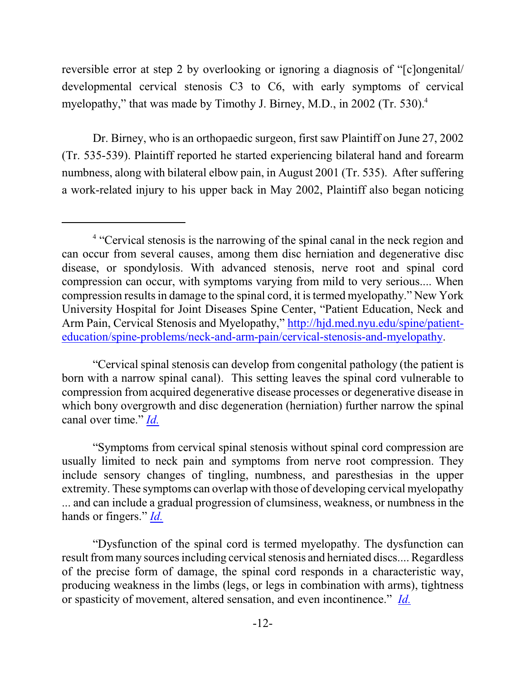reversible error at step 2 by overlooking or ignoring a diagnosis of "[c]ongenital/ developmental cervical stenosis C3 to C6, with early symptoms of cervical myelopathy," that was made by Timothy J. Birney, M.D., in 2002 (Tr. 530).<sup>4</sup>

Dr. Birney, who is an orthopaedic surgeon, first saw Plaintiff on June 27, 2002 (Tr. 535-539). Plaintiff reported he started experiencing bilateral hand and forearm numbness, along with bilateral elbow pain, in August 2001 (Tr. 535). After suffering a work-related injury to his upper back in May 2002, Plaintiff also began noticing

"Cervical spinal stenosis can develop from congenital pathology (the patient is born with a narrow spinal canal). This setting leaves the spinal cord vulnerable to compression from acquired degenerative disease processes or degenerative disease in which bony overgrowth and disc degeneration (herniation) further narrow the spinal canal over time." *[Id.](http://hjd.med.nyu.edu/spine/patient-education/spine-problems/neck-and-arm-pain/cervical-stenosis-and-myelopathy)*

"Symptoms from cervical spinal stenosis without spinal cord compression are usually limited to neck pain and symptoms from nerve root compression. They include sensory changes of tingling, numbness, and paresthesias in the upper extremity. These symptoms can overlap with those of developing cervical myelopathy ... and can include a gradual progression of clumsiness, weakness, or numbness in the hands or fingers." *[Id.](http://hjd.med.nyu.edu/spine/patient-education/spine-problems/neck-and-arm-pain/cervical-stenosis-and-myelopathy)*

"Dysfunction of the spinal cord is termed myelopathy. The dysfunction can result frommany sources including cervical stenosis and herniated discs.... Regardless of the precise form of damage, the spinal cord responds in a characteristic way, producing weakness in the limbs (legs, or legs in combination with arms), tightness or spasticity of movement, altered sensation, and even incontinence." *[Id.](http://hjd.med.nyu.edu/spine/patient-education/spine-problems/neck-and-arm-pain/cervical-stenosis-and-myelopathy)*

<sup>&</sup>lt;sup>4</sup> "Cervical stenosis is the narrowing of the spinal canal in the neck region and can occur from several causes, among them disc herniation and degenerative disc disease, or spondylosis. With advanced stenosis, nerve root and spinal cord compression can occur, with symptoms varying from mild to very serious.... When compression results in damage to the spinal cord, it is termed myelopathy." New York University Hospital for Joint Diseases Spine Center, "Patient Education, Neck and Arm Pain, Cervical Stenosis and Myelopathy," [http://hjd.med.nyu.edu/spine/patient](http://hjd.med.nyu.edu/spine/patient-education/spine-problems/neck-and-arm-pain/cervical-stenosis-and-myelopathy)[education/spine-problems/neck-and-arm-pain/cervical-stenosis-and-myelopathy](http://hjd.med.nyu.edu/spine/patient-education/spine-problems/neck-and-arm-pain/cervical-stenosis-and-myelopathy).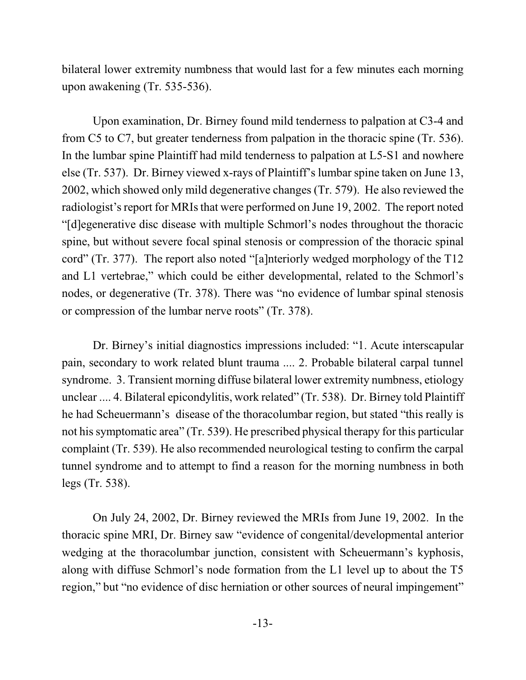bilateral lower extremity numbness that would last for a few minutes each morning upon awakening (Tr. 535-536).

Upon examination, Dr. Birney found mild tenderness to palpation at C3-4 and from C5 to C7, but greater tenderness from palpation in the thoracic spine (Tr. 536). In the lumbar spine Plaintiff had mild tenderness to palpation at L5-S1 and nowhere else (Tr. 537). Dr. Birney viewed x-rays of Plaintiff's lumbar spine taken on June 13, 2002, which showed only mild degenerative changes (Tr. 579). He also reviewed the radiologist's report for MRIs that were performed on June 19, 2002. The report noted "[d]egenerative disc disease with multiple Schmorl's nodes throughout the thoracic spine, but without severe focal spinal stenosis or compression of the thoracic spinal cord" (Tr. 377). The report also noted "[a]nteriorly wedged morphology of the T12 and L1 vertebrae," which could be either developmental, related to the Schmorl's nodes, or degenerative (Tr. 378). There was "no evidence of lumbar spinal stenosis or compression of the lumbar nerve roots" (Tr. 378).

Dr. Birney's initial diagnostics impressions included: "1. Acute interscapular pain, secondary to work related blunt trauma .... 2. Probable bilateral carpal tunnel syndrome. 3. Transient morning diffuse bilateral lower extremity numbness, etiology unclear .... 4. Bilateral epicondylitis, work related" (Tr. 538). Dr. Birney told Plaintiff he had Scheuermann's disease of the thoracolumbar region, but stated "this really is not his symptomatic area" (Tr. 539). He prescribed physical therapy for this particular complaint (Tr. 539). He also recommended neurological testing to confirm the carpal tunnel syndrome and to attempt to find a reason for the morning numbness in both legs (Tr. 538).

On July 24, 2002, Dr. Birney reviewed the MRIs from June 19, 2002. In the thoracic spine MRI, Dr. Birney saw "evidence of congenital/developmental anterior wedging at the thoracolumbar junction, consistent with Scheuermann's kyphosis, along with diffuse Schmorl's node formation from the L1 level up to about the T5 region," but "no evidence of disc herniation or other sources of neural impingement"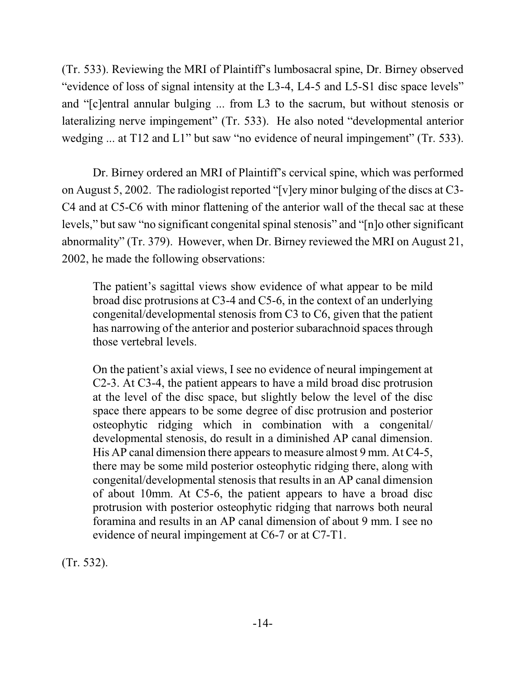(Tr. 533). Reviewing the MRI of Plaintiff's lumbosacral spine, Dr. Birney observed "evidence of loss of signal intensity at the L3-4, L4-5 and L5-S1 disc space levels" and "[c]entral annular bulging ... from L3 to the sacrum, but without stenosis or lateralizing nerve impingement" (Tr. 533). He also noted "developmental anterior wedging ... at T12 and L1" but saw "no evidence of neural impingement" (Tr. 533).

Dr. Birney ordered an MRI of Plaintiff's cervical spine, which was performed on August 5, 2002. The radiologist reported "[v]ery minor bulging of the discs at C3- C4 and at C5-C6 with minor flattening of the anterior wall of the thecal sac at these levels," but saw "no significant congenital spinal stenosis" and "[n]o other significant abnormality" (Tr. 379). However, when Dr. Birney reviewed the MRI on August 21, 2002, he made the following observations:

The patient's sagittal views show evidence of what appear to be mild broad disc protrusions at C3-4 and C5-6, in the context of an underlying congenital/developmental stenosis from C3 to C6, given that the patient has narrowing of the anterior and posterior subarachnoid spaces through those vertebral levels.

On the patient's axial views, I see no evidence of neural impingement at C2-3. At C3-4, the patient appears to have a mild broad disc protrusion at the level of the disc space, but slightly below the level of the disc space there appears to be some degree of disc protrusion and posterior osteophytic ridging which in combination with a congenital/ developmental stenosis, do result in a diminished AP canal dimension. His AP canal dimension there appears to measure almost 9 mm. At C4-5, there may be some mild posterior osteophytic ridging there, along with congenital/developmental stenosis that results in an AP canal dimension of about 10mm. At C5-6, the patient appears to have a broad disc protrusion with posterior osteophytic ridging that narrows both neural foramina and results in an AP canal dimension of about 9 mm. I see no evidence of neural impingement at C6-7 or at C7-T1.

(Tr. 532).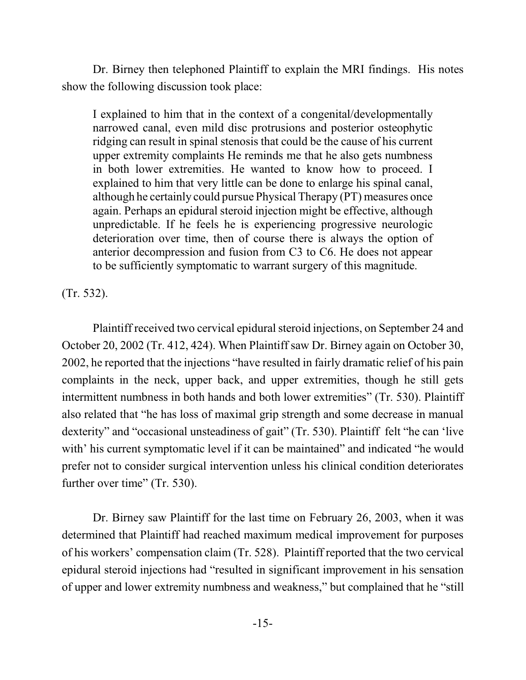Dr. Birney then telephoned Plaintiff to explain the MRI findings. His notes show the following discussion took place:

I explained to him that in the context of a congenital/developmentally narrowed canal, even mild disc protrusions and posterior osteophytic ridging can result in spinal stenosis that could be the cause of his current upper extremity complaints He reminds me that he also gets numbness in both lower extremities. He wanted to know how to proceed. I explained to him that very little can be done to enlarge his spinal canal, although he certainly could pursue Physical Therapy (PT) measures once again. Perhaps an epidural steroid injection might be effective, although unpredictable. If he feels he is experiencing progressive neurologic deterioration over time, then of course there is always the option of anterior decompression and fusion from C3 to C6. He does not appear to be sufficiently symptomatic to warrant surgery of this magnitude.

(Tr. 532).

Plaintiff received two cervical epidural steroid injections, on September 24 and October 20, 2002 (Tr. 412, 424). When Plaintiff saw Dr. Birney again on October 30, 2002, he reported that the injections "have resulted in fairly dramatic relief of his pain complaints in the neck, upper back, and upper extremities, though he still gets intermittent numbness in both hands and both lower extremities" (Tr. 530). Plaintiff also related that "he has loss of maximal grip strength and some decrease in manual dexterity" and "occasional unsteadiness of gait" (Tr. 530). Plaintiff felt "he can 'live with' his current symptomatic level if it can be maintained" and indicated "he would prefer not to consider surgical intervention unless his clinical condition deteriorates further over time" (Tr. 530).

Dr. Birney saw Plaintiff for the last time on February 26, 2003, when it was determined that Plaintiff had reached maximum medical improvement for purposes of his workers' compensation claim (Tr. 528). Plaintiff reported that the two cervical epidural steroid injections had "resulted in significant improvement in his sensation of upper and lower extremity numbness and weakness," but complained that he "still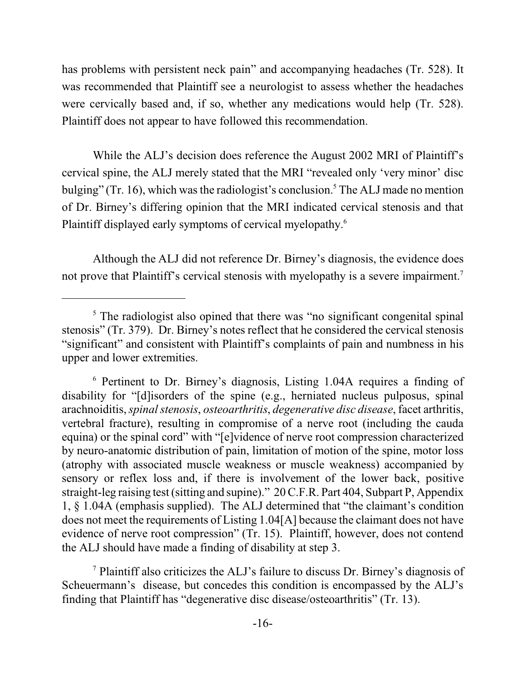has problems with persistent neck pain" and accompanying headaches (Tr. 528). It was recommended that Plaintiff see a neurologist to assess whether the headaches were cervically based and, if so, whether any medications would help (Tr. 528). Plaintiff does not appear to have followed this recommendation.

While the ALJ's decision does reference the August 2002 MRI of Plaintiff's cervical spine, the ALJ merely stated that the MRI "revealed only 'very minor' disc bulging" (Tr. 16), which was the radiologist's conclusion.<sup>5</sup> The ALJ made no mention of Dr. Birney's differing opinion that the MRI indicated cervical stenosis and that Plaintiff displayed early symptoms of cervical myelopathy.<sup>6</sup>

Although the ALJ did not reference Dr. Birney's diagnosis, the evidence does not prove that Plaintiff's cervical stenosis with myelopathy is a severe impairment.<sup>7</sup>

<sup>&</sup>lt;sup>5</sup> The radiologist also opined that there was "no significant congenital spinal stenosis" (Tr. 379). Dr. Birney's notes reflect that he considered the cervical stenosis "significant" and consistent with Plaintiff's complaints of pain and numbness in his upper and lower extremities.

<sup>6</sup> Pertinent to Dr. Birney's diagnosis, Listing 1.04A requires a finding of disability for "[d]isorders of the spine (e.g., herniated nucleus pulposus, spinal arachnoiditis, *spinal stenosis*, *osteoarthritis*, *degenerative disc disease*, facet arthritis, vertebral fracture), resulting in compromise of a nerve root (including the cauda equina) or the spinal cord" with "[e]vidence of nerve root compression characterized by neuro-anatomic distribution of pain, limitation of motion of the spine, motor loss (atrophy with associated muscle weakness or muscle weakness) accompanied by sensory or reflex loss and, if there is involvement of the lower back, positive straight-leg raising test (sitting and supine)." 20 C.F.R. Part 404, Subpart P, Appendix 1, § 1.04A (emphasis supplied). The ALJ determined that "the claimant's condition does not meet the requirements of Listing 1.04[A] because the claimant does not have evidence of nerve root compression" (Tr. 15). Plaintiff, however, does not contend the ALJ should have made a finding of disability at step 3.

<sup>7</sup> Plaintiff also criticizes the ALJ's failure to discuss Dr. Birney's diagnosis of Scheuermann's disease, but concedes this condition is encompassed by the ALJ's finding that Plaintiff has "degenerative disc disease/osteoarthritis" (Tr. 13).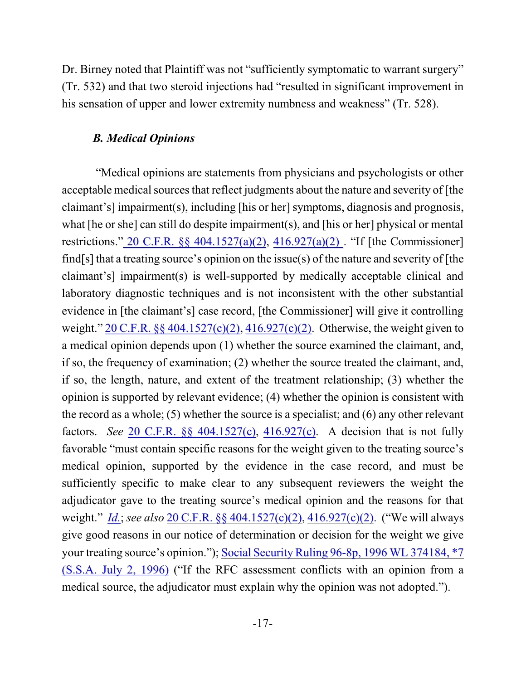Dr. Birney noted that Plaintiff was not "sufficiently symptomatic to warrant surgery" (Tr. 532) and that two steroid injections had "resulted in significant improvement in his sensation of upper and lower extremity numbness and weakness" (Tr. 528).

## *B. Medical Opinions*

"Medical opinions are statements from physicians and psychologists or other acceptable medical sources that reflect judgments about the nature and severity of [the claimant's] impairment(s), including [his or her] symptoms, diagnosis and prognosis, what [he or she] can still do despite impairment(s), and [his or her] physical or mental restrictions." [20 C.F.R. §§ 404.1527\(a\)\(2\)](https://web2.westlaw.com/find/default.wl?rs=WLW11.07&rp=%2ffind%2fdefault.wl&vr=2.0&fn=_top&mt=Westlaw&cite=20cfr404.1527&sv=Split), [416.927\(a\)\(2\)](https://web2.westlaw.com/find/default.wl?rs=WLW11.07&rp=%2ffind%2fdefault.wl&vr=2.0&fn=_top&mt=Westlaw&cite=20cfr416.927&sv=Split) . "If [the Commissioner] find[s] that a treating source's opinion on the issue(s) of the nature and severity of [the claimant's] impairment(s) is well-supported by medically acceptable clinical and laboratory diagnostic techniques and is not inconsistent with the other substantial evidence in [the claimant's] case record, [the Commissioner] will give it controlling weight." [20 C.F.R. §§ 404.1527\(c\)\(2\)](https://web2.westlaw.com/find/default.wl?rs=WLW11.07&rp=%2ffind%2fdefault.wl&vr=2.0&fn=_top&mt=Westlaw&cite=20cfr404.1527&sv=Split), [416.927\(c\)\(2\)](https://web2.westlaw.com/find/default.wl?rs=WLW11.07&rp=%2ffind%2fdefault.wl&vr=2.0&fn=_top&mt=Westlaw&cite=20cfr416.927&sv=Split). Otherwise, the weight given to a medical opinion depends upon (1) whether the source examined the claimant, and, if so, the frequency of examination; (2) whether the source treated the claimant, and, if so, the length, nature, and extent of the treatment relationship; (3) whether the opinion is supported by relevant evidence; (4) whether the opinion is consistent with the record as a whole; (5) whether the source is a specialist; and (6) any other relevant factors. *See* [20 C.F.R. §§ 404.1527\(c\)](https://web2.westlaw.com/find/default.wl?rs=WLW11.07&rp=%2ffind%2fdefault.wl&vr=2.0&fn=_top&mt=Westlaw&cite=20cfr404.1527&sv=Split), [416.927\(c\)](https://web2.westlaw.com/find/default.wl?rs=WLW11.07&rp=%2ffind%2fdefault.wl&vr=2.0&fn=_top&mt=Westlaw&cite=20cfr416.927&sv=Split). A decision that is not fully favorable "must contain specific reasons for the weight given to the treating source's medical opinion, supported by the evidence in the case record, and must be sufficiently specific to make clear to any subsequent reviewers the weight the adjudicator gave to the treating source's medical opinion and the reasons for that weight." *[Id.](https://web2.westlaw.com/find/default.wl?rs=WLW11.07&rp=%2ffind%2fdefault.wl&vr=2.0&fn=_top&mt=Westlaw&cite=ssr96-2p&sv=Split)*; *see also* [20 C.F.R. §§ 404.1527\(c\)\(2\)](https://web2.westlaw.com/find/default.wl?rs=WLW11.07&rp=%2ffind%2fdefault.wl&vr=2.0&fn=_top&mt=Westlaw&cite=20cfr404.1527&sv=Split), [416.927\(c\)\(2\)](https://web2.westlaw.com/find/default.wl?rs=WLW11.07&rp=%2ffind%2fdefault.wl&vr=2.0&fn=_top&mt=Westlaw&cite=20cfr416.927&sv=Split). ("We will always give good reasons in our notice of determination or decision for the weight we give your treating source's opinion."); Social Security [Ruling 96-8p, 1996 WL 374184, \\*7](http://www.westlaw.com/find/default.wl?rs=CLWP3.0&vr=2.0&cite=1996+WL+374184) (S.S.A. July [2, 1996\)](http://www.westlaw.com/find/default.wl?rs=CLWP3.0&vr=2.0&cite=1996+WL+374184) ("If the RFC assessment conflicts with an opinion from a medical source, the adjudicator must explain why the opinion was not adopted.").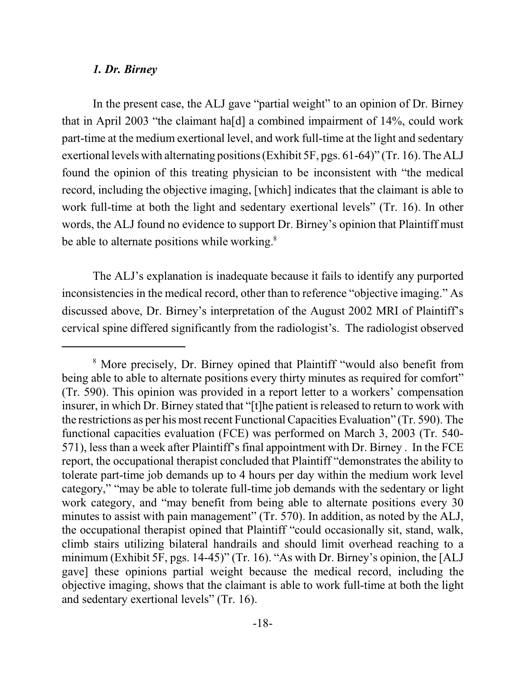#### *1. Dr. Birney*

In the present case, the ALJ gave "partial weight" to an opinion of Dr. Birney that in April 2003 "the claimant ha[d] a combined impairment of 14%, could work part-time at the medium exertional level, and work full-time at the light and sedentary exertional levels with alternating positions (Exhibit 5F, pgs. 61-64)" (Tr. 16). The ALJ found the opinion of this treating physician to be inconsistent with "the medical record, including the objective imaging, [which] indicates that the claimant is able to work full-time at both the light and sedentary exertional levels" (Tr. 16). In other words, the ALJ found no evidence to support Dr. Birney's opinion that Plaintiff must be able to alternate positions while working.<sup>8</sup>

The ALJ's explanation is inadequate because it fails to identify any purported inconsistencies in the medical record, other than to reference "objective imaging." As discussed above, Dr. Birney's interpretation of the August 2002 MRI of Plaintiff's cervical spine differed significantly from the radiologist's. The radiologist observed

<sup>&</sup>lt;sup>8</sup> More precisely, Dr. Birney opined that Plaintiff "would also benefit from being able to able to alternate positions every thirty minutes as required for comfort" (Tr. 590). This opinion was provided in a report letter to a workers' compensation insurer, in which Dr. Birney stated that "[t]he patient is released to return to work with the restrictions as per his most recent Functional Capacities Evaluation" (Tr. 590). The functional capacities evaluation (FCE) was performed on March 3, 2003 (Tr. 540- 571), less than a week after Plaintiff's final appointment with Dr. Birney . In the FCE report, the occupational therapist concluded that Plaintiff "demonstrates the ability to tolerate part-time job demands up to 4 hours per day within the medium work level category," "may be able to tolerate full-time job demands with the sedentary or light work category, and "may benefit from being able to alternate positions every 30 minutes to assist with pain management" (Tr. 570). In addition, as noted by the ALJ, the occupational therapist opined that Plaintiff "could occasionally sit, stand, walk, climb stairs utilizing bilateral handrails and should limit overhead reaching to a minimum (Exhibit 5F, pgs. 14-45)" (Tr. 16). "As with Dr. Birney's opinion, the [ALJ gave] these opinions partial weight because the medical record, including the objective imaging, shows that the claimant is able to work full-time at both the light and sedentary exertional levels" (Tr. 16).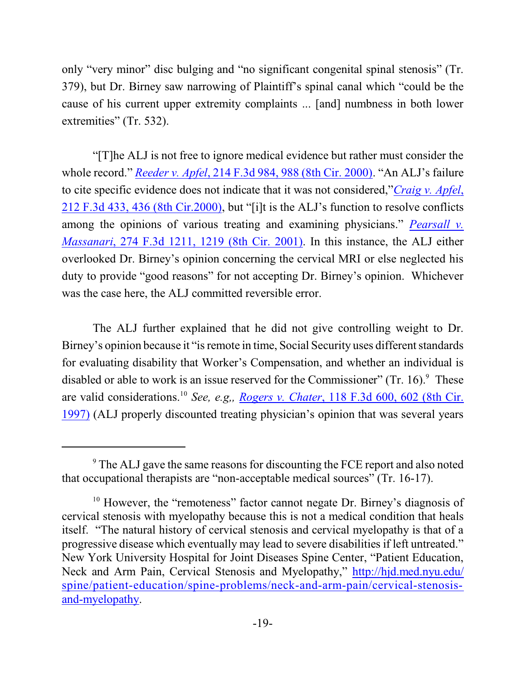only "very minor" disc bulging and "no significant congenital spinal stenosis" (Tr. 379), but Dr. Birney saw narrowing of Plaintiff's spinal canal which "could be the cause of his current upper extremity complaints ... [and] numbness in both lower extremities" (Tr. 532).

"[T]he ALJ is not free to ignore medical evidence but rather must consider the whole record." *Reeder v. Apfel*, [214 F.3d 984, 988 \(8th Cir. 2000\)](https://web2.westlaw.com/find/default.wl?cite=214+F.3d+988+&rs=WLW13.10&vr=2.0&rp=%2ffind%2fdefault.wl&sv=Split&fn=_top&mt=Westlaw). "An ALJ's failure to cite specific evidence does not indicate that it was not considered,"*[Craig v. Apfel](https://web2.westlaw.com/find/default.wl?cite=212+F.3d+436&rs=WLW13.10&vr=2.0&rp=%2ffind%2fdefault.wl&sv=Split&fn=_top&mt=Westlaw)*, 212 F.3d 433, [436 \(8th Cir.2000\)](https://web2.westlaw.com/find/default.wl?cite=212+F.3d+436&rs=WLW13.10&vr=2.0&rp=%2ffind%2fdefault.wl&sv=Split&fn=_top&mt=Westlaw), but "[i]t is the ALJ's function to resolve conflicts among the opinions of various treating and examining physicians." *[Pearsall v.](https://web2.westlaw.com/find/default.wl?cite=274+F.3d+1219+&rs=WLW13.10&vr=2.0&rp=%2ffind%2fdefault.wl&sv=Split&fn=_top&mt=Westlaw) Massanari*, [274 F.3d 1211, 1219 \(8th Cir. 2001\)](https://web2.westlaw.com/find/default.wl?cite=274+F.3d+1219+&rs=WLW13.10&vr=2.0&rp=%2ffind%2fdefault.wl&sv=Split&fn=_top&mt=Westlaw). In this instance, the ALJ either overlooked Dr. Birney's opinion concerning the cervical MRI or else neglected his duty to provide "good reasons" for not accepting Dr. Birney's opinion. Whichever was the case here, the ALJ committed reversible error.

The ALJ further explained that he did not give controlling weight to Dr. Birney's opinion because it "is remote in time, Social Security uses different standards for evaluating disability that Worker's Compensation, and whether an individual is disabled or able to work is an issue reserved for the Commissioner" (Tr. 16). $9$  These are valid considerations. 10 *See, e.g,, Rogers v. Chater*[, 118 F.3d 600, 602 \(8th Cir.](https://web2.westlaw.com/find/default.wl?cite=118+F.3d+602+&rs=WLW13.10&vr=2.0&rp=%2ffind%2fdefault.wl&sv=Split&fn=_top&mt=Westlaw) [1997\)](https://web2.westlaw.com/find/default.wl?cite=118+F.3d+602+&rs=WLW13.10&vr=2.0&rp=%2ffind%2fdefault.wl&sv=Split&fn=_top&mt=Westlaw) (ALJ properly discounted treating physician's opinion that was several years

<sup>&</sup>lt;sup>9</sup> The ALJ gave the same reasons for discounting the FCE report and also noted that occupational therapists are "non-acceptable medical sources" (Tr. 16-17).

<sup>&</sup>lt;sup>10</sup> However, the "remoteness" factor cannot negate Dr. Birney's diagnosis of cervical stenosis with myelopathy because this is not a medical condition that heals itself. "The natural history of cervical stenosis and cervical myelopathy is that of a progressive disease which eventually may lead to severe disabilities if left untreated." New York University Hospital for Joint Diseases Spine Center, "Patient Education, Neck and Arm Pain, Cervical Stenosis and Myelopathy," [http://hjd.med.nyu.edu/](http://hjd.med.nyu.edu/spine/patient-education/spine-problems/neck-and-arm-pain/cervical-stenosis-and-myelopathy) [spine/patient-education/spine-problems/neck-and-arm-pain/cervical-stenosis](http://hjd.med.nyu.edu/spine/patient-education/spine-problems/neck-and-arm-pain/cervical-stenosis-and-myelopathy)[and-myelopathy](http://hjd.med.nyu.edu/spine/patient-education/spine-problems/neck-and-arm-pain/cervical-stenosis-and-myelopathy).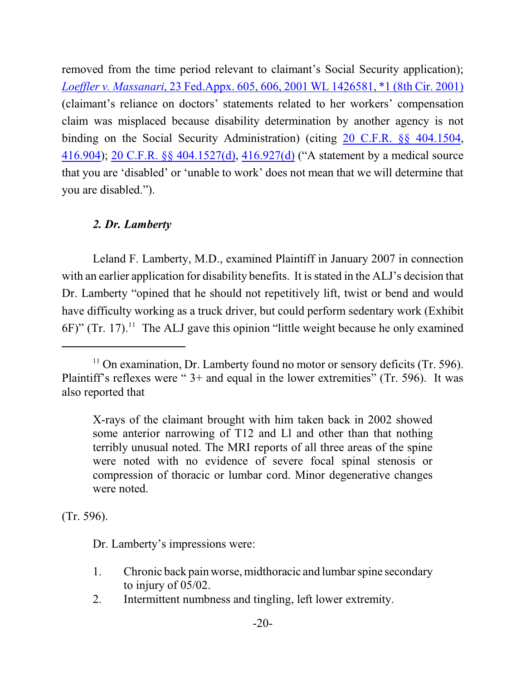removed from the time period relevant to claimant's Social Security application); *Loeffler v. Massanari*[, 23 Fed.Appx. 605, 606, 2001 WL 1426581, \\*1 \(8th Cir. 2001\)](https://web2.westlaw.com/find/default.wl?cite=2001+WL+1426581&rs=WLW13.10&vr=2.0&rp=%2ffind%2fdefault.wl&sv=Split&fn=_top&mt=Westlaw) (claimant's reliance on doctors' statements related to her workers' compensation claim was misplaced because disability determination by another agency is not binding on the Social Security Administration) (citing [20 C.F.R. §§ 404.1504](https://web2.westlaw.com/find/default.wl?mt=Westlaw&db=1000547&docname=20CFRS404.1504&rp=%2ffind%2fdefault.wl&findtype=L&ordoc=2001965060&tc=-1&vr=2.0&fn=_top&sv=Split&tf=-1&pbc=9A6F6B69&rs=WLW13.10), [416.904](https://web2.westlaw.com/find/default.wl?mt=Westlaw&db=1000547&docname=20CFRS416.904&rp=%2ffind%2fdefault.wl&findtype=L&ordoc=2001965060&tc=-1&vr=2.0&fn=_top&sv=Split&tf=-1&pbc=9A6F6B69&rs=WLW13.10)); [20 C.F.R. §§ 404.1527\(d\)](https://web2.westlaw.com/find/default.wl?rs=WLW11.07&rp=%2ffind%2fdefault.wl&vr=2.0&fn=_top&mt=Westlaw&cite=20cfr404.1527&sv=Split), [416.927\(d\)](https://web2.westlaw.com/find/default.wl?rs=WLW11.07&rp=%2ffind%2fdefault.wl&vr=2.0&fn=_top&mt=Westlaw&cite=20cfr416.927&sv=Split) ("A statement by a medical source that you are 'disabled' or 'unable to work' does not mean that we will determine that you are disabled.").

# *2. Dr. Lamberty*

Leland F. Lamberty, M.D., examined Plaintiff in January 2007 in connection with an earlier application for disability benefits. It is stated in the ALJ's decision that Dr. Lamberty "opined that he should not repetitively lift, twist or bend and would have difficulty working as a truck driver, but could perform sedentary work (Exhibit 6F)" (Tr. 17). <sup>11</sup> The ALJ gave this opinion "little weight because he only examined

X-rays of the claimant brought with him taken back in 2002 showed some anterior narrowing of T12 and Ll and other than that nothing terribly unusual noted. The MRI reports of all three areas of the spine were noted with no evidence of severe focal spinal stenosis or compression of thoracic or lumbar cord. Minor degenerative changes were noted.

(Tr. 596).

Dr. Lamberty's impressions were:

- 1. Chronic back pain worse, midthoracic and lumbar spine secondary to injury of 05/02.
- 2. Intermittent numbness and tingling, left lower extremity.

 $11$  On examination, Dr. Lamberty found no motor or sensory deficits (Tr. 596). Plaintiff's reflexes were " 3+ and equal in the lower extremities" (Tr. 596). It was also reported that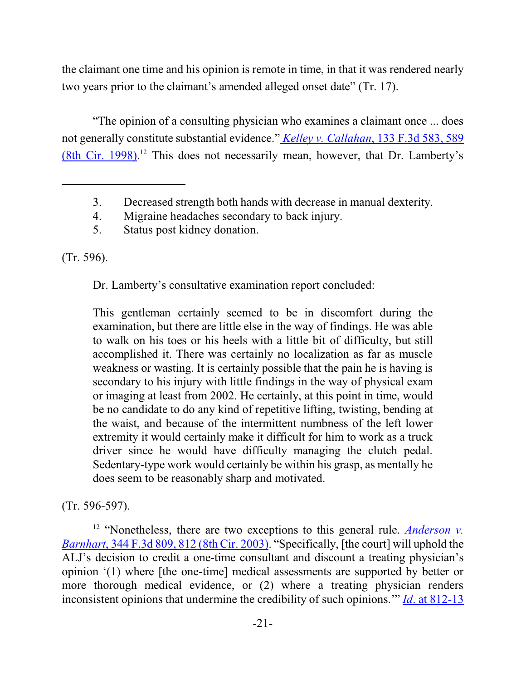the claimant one time and his opinion is remote in time, in that it was rendered nearly two years prior to the claimant's amended alleged onset date" (Tr. 17).

"The opinion of a consulting physician who examines a claimant once ... does not generally constitute substantial evidence." *Kelley v. Callahan*[, 133 F.3d 583, 589](https://web2.westlaw.com/find/default.wl?cite=133+F.3d+589+&rs=WLW13.10&vr=2.0&rp=%2ffind%2fdefault.wl&sv=Split&fn=_top&mt=Westlaw) [\(8th Cir. 1998\)](https://web2.westlaw.com/find/default.wl?cite=133+F.3d+589+&rs=WLW13.10&vr=2.0&rp=%2ffind%2fdefault.wl&sv=Split&fn=_top&mt=Westlaw).<sup>12</sup> This does not necessarily mean, however, that Dr. Lamberty's

(Tr. 596).

Dr. Lamberty's consultative examination report concluded:

This gentleman certainly seemed to be in discomfort during the examination, but there are little else in the way of findings. He was able to walk on his toes or his heels with a little bit of difficulty, but still accomplished it. There was certainly no localization as far as muscle weakness or wasting. It is certainly possible that the pain he is having is secondary to his injury with little findings in the way of physical exam or imaging at least from 2002. He certainly, at this point in time, would be no candidate to do any kind of repetitive lifting, twisting, bending at the waist, and because of the intermittent numbness of the left lower extremity it would certainly make it difficult for him to work as a truck driver since he would have difficulty managing the clutch pedal. Sedentary-type work would certainly be within his grasp, as mentally he does seem to be reasonably sharp and motivated.

(Tr. 596-597).

<sup>12</sup> "Nonetheless, there are two exceptions to this general rule. *[Anderson v.](https://web2.westlaw.com/find/default.wl?cite=344+F.3d+812+&rs=WLW13.10&vr=2.0&rp=%2ffind%2fdefault.wl&sv=Split&fn=_top&mt=Westlaw) Barnhart*[, 344 F.3d 809, 812 \(8th Cir. 2003\)](https://web2.westlaw.com/find/default.wl?cite=344+F.3d+812+&rs=WLW13.10&vr=2.0&rp=%2ffind%2fdefault.wl&sv=Split&fn=_top&mt=Westlaw). "Specifically, [the court] will uphold the ALJ's decision to credit a one-time consultant and discount a treating physician's opinion '(1) where [the one-time] medical assessments are supported by better or more thorough medical evidence, or (2) where a treating physician renders inconsistent opinions that undermine the credibility of such opinions.'" *Id*. [at 812-13](https://web2.westlaw.com/find/default.wl?cite=344+F.3d+812+&rs=WLW13.10&vr=2.0&rp=%2ffind%2fdefault.wl&sv=Split&fn=_top&mt=Westlaw)

<sup>3.</sup> Decreased strength both hands with decrease in manual dexterity.

<sup>4.</sup> Migraine headaches secondary to back injury.

<sup>5.</sup> Status post kidney donation.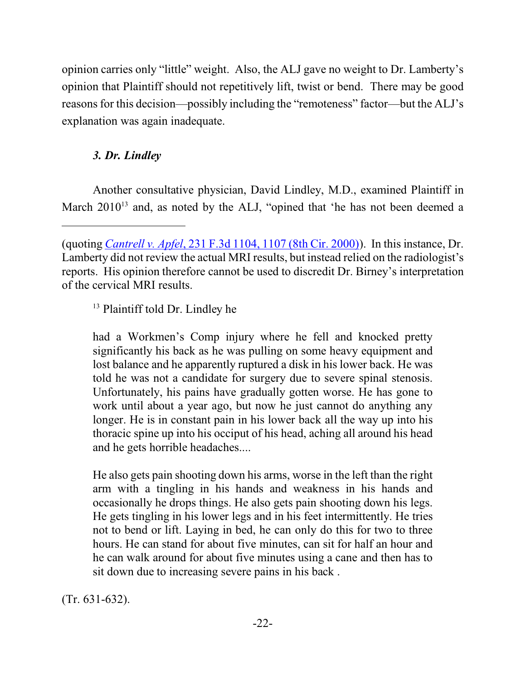opinion carries only "little" weight. Also, the ALJ gave no weight to Dr. Lamberty's opinion that Plaintiff should not repetitively lift, twist or bend. There may be good reasons for this decision—possibly including the "remoteness" factor—but the ALJ's explanation was again inadequate.

# *3. Dr. Lindley*

Another consultative physician, David Lindley, M.D., examined Plaintiff in March 2010<sup>13</sup> and, as noted by the ALJ, "opined that 'he has not been deemed a

<sup>13</sup> Plaintiff told Dr. Lindley he

had a Workmen's Comp injury where he fell and knocked pretty significantly his back as he was pulling on some heavy equipment and lost balance and he apparently ruptured a disk in his lower back. He was told he was not a candidate for surgery due to severe spinal stenosis. Unfortunately, his pains have gradually gotten worse. He has gone to work until about a year ago, but now he just cannot do anything any longer. He is in constant pain in his lower back all the way up into his thoracic spine up into his occiput of his head, aching all around his head and he gets horrible headaches....

He also gets pain shooting down his arms, worse in the left than the right arm with a tingling in his hands and weakness in his hands and occasionally he drops things. He also gets pain shooting down his legs. He gets tingling in his lower legs and in his feet intermittently. He tries not to bend or lift. Laying in bed, he can only do this for two to three hours. He can stand for about five minutes, can sit for half an hour and he can walk around for about five minutes using a cane and then has to sit down due to increasing severe pains in his back .

(Tr. 631-632).

<sup>(</sup>quoting *Cantrell v. Apfel*, [231 F.3d 1104, 1107 \(8th Cir. 2000\)](https://web2.westlaw.com/find/default.wl?mt=Westlaw&db=506&tc=-1&rp=%2ffind%2fdefault.wl&findtype=Y&ordoc=2003659733&serialnum=2000597826&vr=2.0&fn=_top&sv=Split&tf=-1&referencepositiontype=S&pbc=6324983A&referenceposition=1107&rs=WLW13.10)). In this instance, Dr. Lamberty did not review the actual MRI results, but instead relied on the radiologist's reports. His opinion therefore cannot be used to discredit Dr. Birney's interpretation of the cervical MRI results.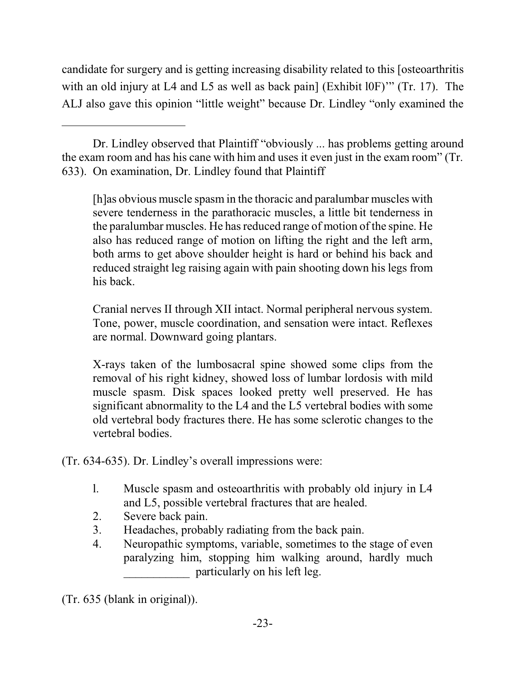candidate for surgery and is getting increasing disability related to this [osteoarthritis with an old injury at L4 and L5 as well as back pain] (Exhibit l0F)<sup>\*\*</sup> (Tr. 17). The ALJ also gave this opinion "little weight" because Dr. Lindley "only examined the

[h]as obvious muscle spasm in the thoracic and paralumbar muscles with severe tenderness in the parathoracic muscles, a little bit tenderness in the paralumbar muscles. He has reduced range of motion of the spine. He also has reduced range of motion on lifting the right and the left arm, both arms to get above shoulder height is hard or behind his back and reduced straight leg raising again with pain shooting down his legs from his back.

Cranial nerves II through XII intact. Normal peripheral nervous system. Tone, power, muscle coordination, and sensation were intact. Reflexes are normal. Downward going plantars.

X-rays taken of the lumbosacral spine showed some clips from the removal of his right kidney, showed loss of lumbar lordosis with mild muscle spasm. Disk spaces looked pretty well preserved. He has significant abnormality to the L4 and the L5 vertebral bodies with some old vertebral body fractures there. He has some sclerotic changes to the vertebral bodies.

(Tr. 634-635). Dr. Lindley's overall impressions were:

- l. Muscle spasm and osteoarthritis with probably old injury in L4 and L5, possible vertebral fractures that are healed.
- 2. Severe back pain.
- 3. Headaches, probably radiating from the back pain.
- 4. Neuropathic symptoms, variable, sometimes to the stage of even paralyzing him, stopping him walking around, hardly much \_\_\_\_\_\_\_\_\_\_\_ particularly on his left leg.

(Tr. 635 (blank in original)).

Dr. Lindley observed that Plaintiff "obviously ... has problems getting around the exam room and has his cane with him and uses it even just in the exam room" (Tr. 633). On examination, Dr. Lindley found that Plaintiff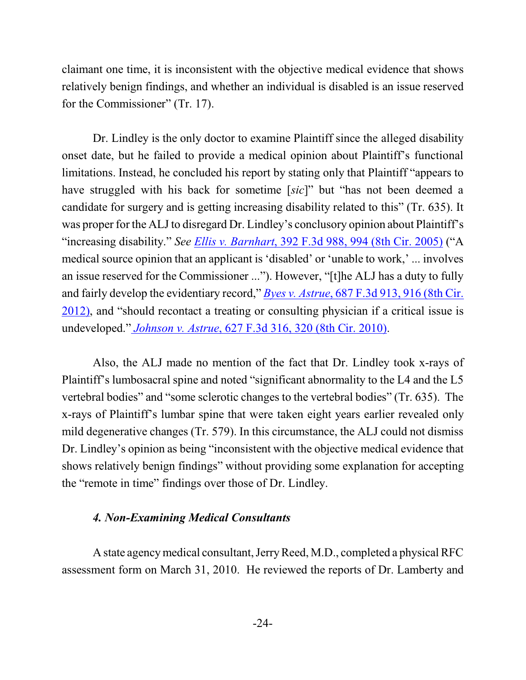claimant one time, it is inconsistent with the objective medical evidence that shows relatively benign findings, and whether an individual is disabled is an issue reserved for the Commissioner" (Tr. 17).

Dr. Lindley is the only doctor to examine Plaintiff since the alleged disability onset date, but he failed to provide a medical opinion about Plaintiff's functional limitations. Instead, he concluded his report by stating only that Plaintiff "appears to have struggled with his back for sometime [*sic*]" but "has not been deemed a candidate for surgery and is getting increasing disability related to this" (Tr. 635). It was proper for the ALJ to disregard Dr. Lindley's conclusory opinion about Plaintiff's "increasing disability." *See Ellis v. Barnhart*[, 392 F.3d 988, 994 \(8th Cir. 2005\)](https://web2.westlaw.com/find/default.wl?cite=392+F.3d+994+&rs=WLW13.10&vr=2.0&rp=%2ffind%2fdefault.wl&sv=Split&fn=_top&mt=Westlaw) ("A medical source opinion that an applicant is 'disabled' or 'unable to work,' ... involves an issue reserved for the Commissioner ..."). However, "[t]he ALJ has a duty to fully and fairly develop the evidentiary record," *Byes v. Astrue*, [687 F.3d 913, 916 \(8th Cir.](https://web2.westlaw.com/find/default.wl?cite=687+F.3d+916+&rs=WLW13.10&vr=2.0&rp=%2ffind%2fdefault.wl&sv=Split&fn=_top&mt=Westlaw) [2012\)](https://web2.westlaw.com/find/default.wl?cite=687+F.3d+916+&rs=WLW13.10&vr=2.0&rp=%2ffind%2fdefault.wl&sv=Split&fn=_top&mt=Westlaw), and "should recontact a treating or consulting physician if a critical issue is undeveloped." *Johnson v. Astrue*[, 627 F.3d 316, 320 \(8th Cir. 2010\)](https://web2.westlaw.com/find/default.wl?cite=627+F.3d+320+&rs=WLW13.10&vr=2.0&rp=%2ffind%2fdefault.wl&sv=Split&fn=_top&mt=Westlaw).

Also, the ALJ made no mention of the fact that Dr. Lindley took x-rays of Plaintiff's lumbosacral spine and noted "significant abnormality to the L4 and the L5 vertebral bodies" and "some sclerotic changes to the vertebral bodies" (Tr. 635). The x-rays of Plaintiff's lumbar spine that were taken eight years earlier revealed only mild degenerative changes (Tr. 579). In this circumstance, the ALJ could not dismiss Dr. Lindley's opinion as being "inconsistent with the objective medical evidence that shows relatively benign findings" without providing some explanation for accepting the "remote in time" findings over those of Dr. Lindley.

### *4. Non-Examining Medical Consultants*

A state agencymedical consultant, JerryReed, M.D., completed a physical RFC assessment form on March 31, 2010. He reviewed the reports of Dr. Lamberty and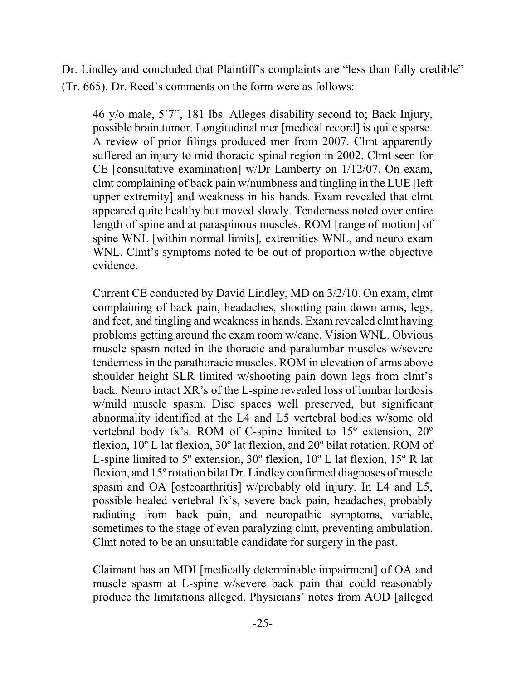Dr. Lindley and concluded that Plaintiff's complaints are "less than fully credible" (Tr. 665). Dr. Reed's comments on the form were as follows:

46 y/o male, 5'7", 181 lbs. Alleges disability second to; Back Injury, possible brain tumor. Longitudinal mer [medical record] is quite sparse. A review of prior filings produced mer from 2007. Clmt apparently suffered an injury to mid thoracic spinal region in 2002. Clmt seen for CE [consultative examination] w/Dr Lamberty on 1/12/07. On exam, clmt complaining of back pain w/numbness and tingling in the LUE [left upper extremity] and weakness in his hands. Exam revealed that clmt appeared quite healthy but moved slowly. Tenderness noted over entire length of spine and at paraspinous muscles. ROM [range of motion] of spine WNL [within normal limits], extremities WNL, and neuro exam WNL. Clmt's symptoms noted to be out of proportion w/the objective evidence.

Current CE conducted by David Lindley, MD on 3/2/10. On exam, clmt complaining of back pain, headaches, shooting pain down arms, legs, and feet, and tingling and weakness in hands. Examrevealed clmt having problems getting around the exam room w/cane. Vision WNL. Obvious muscle spasm noted in the thoracic and paralumbar muscles w/severe tenderness in the parathoracic muscles. ROM in elevation of arms above shoulder height SLR limited w/shooting pain down legs from clmt's back. Neuro intact XR's of the L-spine revealed loss of lumbar lordosis w/mild muscle spasm. Disc spaces well preserved, but significant abnormality identified at the L4 and L5 vertebral bodies w/some old vertebral body fx's. ROM of C-spine limited to 15º extension, 20º flexion, 10º L lat flexion, 30º lat flexion, and 20º bilat rotation. ROM of L-spine limited to 5º extension, 30º flexion, 10º L lat flexion, 15º R lat flexion, and 15ºrotation bilat Dr. Lindley confirmed diagnoses of muscle spasm and OA [osteoarthritis] w/probably old injury. In L4 and L5, possible healed vertebral fx's, severe back pain, headaches, probably radiating from back pain, and neuropathic symptoms, variable, sometimes to the stage of even paralyzing clmt, preventing ambulation. Clmt noted to be an unsuitable candidate for surgery in the past.

Claimant has an MDI [medically determinable impairment] of OA and muscle spasm at L-spine w/severe back pain that could reasonably produce the limitations alleged. Physicians' notes from AOD [alleged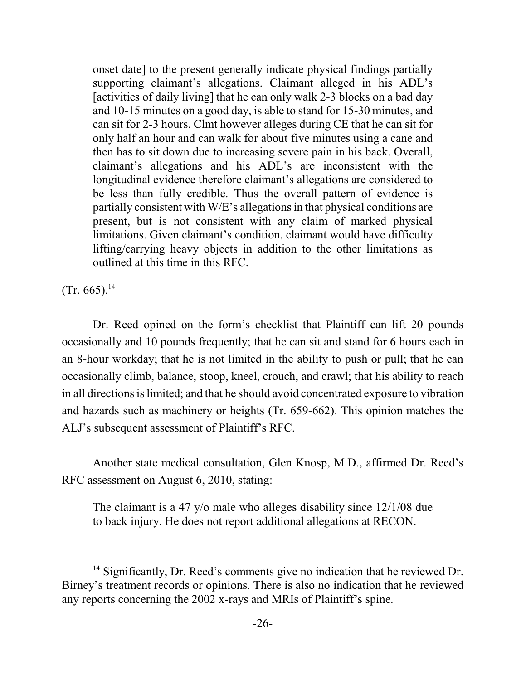onset date] to the present generally indicate physical findings partially supporting claimant's allegations. Claimant alleged in his ADL's [activities of daily living] that he can only walk 2-3 blocks on a bad day and 10-15 minutes on a good day, is able to stand for 15-30 minutes, and can sit for 2-3 hours. Clmt however alleges during CE that he can sit for only half an hour and can walk for about five minutes using a cane and then has to sit down due to increasing severe pain in his back. Overall, claimant's allegations and his ADL's are inconsistent with the longitudinal evidence therefore claimant's allegations are considered to be less than fully credible. Thus the overall pattern of evidence is partially consistent with W/E's allegations in that physical conditions are present, but is not consistent with any claim of marked physical limitations. Given claimant's condition, claimant would have difficulty lifting/carrying heavy objects in addition to the other limitations as outlined at this time in this RFC.

 $(Tr. 665).$ <sup>14</sup>

Dr. Reed opined on the form's checklist that Plaintiff can lift 20 pounds occasionally and 10 pounds frequently; that he can sit and stand for 6 hours each in an 8-hour workday; that he is not limited in the ability to push or pull; that he can occasionally climb, balance, stoop, kneel, crouch, and crawl; that his ability to reach in all directions is limited; and that he should avoid concentrated exposure to vibration and hazards such as machinery or heights (Tr. 659-662). This opinion matches the ALJ's subsequent assessment of Plaintiff's RFC.

Another state medical consultation, Glen Knosp, M.D., affirmed Dr. Reed's RFC assessment on August 6, 2010, stating:

The claimant is a 47 y/o male who alleges disability since 12/1/08 due to back injury. He does not report additional allegations at RECON.

<sup>&</sup>lt;sup>14</sup> Significantly, Dr. Reed's comments give no indication that he reviewed Dr. Birney's treatment records or opinions. There is also no indication that he reviewed any reports concerning the 2002 x-rays and MRIs of Plaintiff's spine.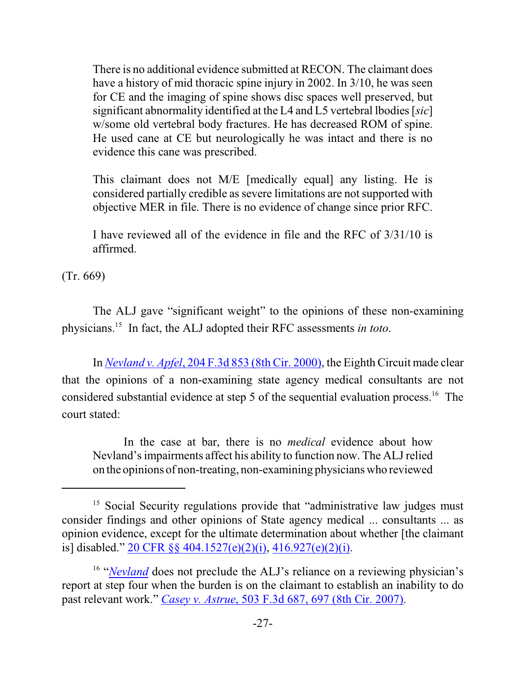There is no additional evidence submitted at RECON. The claimant does have a history of mid thoracic spine injury in 2002. In 3/10, he was seen for CE and the imaging of spine shows disc spaces well preserved, but significant abnormality identified at the L4 and L5 vertebral lbodies [*sic*] w/some old vertebral body fractures. He has decreased ROM of spine. He used cane at CE but neurologically he was intact and there is no evidence this cane was prescribed.

This claimant does not M/E [medically equal] any listing. He is considered partially credible as severe limitations are not supported with objective MER in file. There is no evidence of change since prior RFC.

I have reviewed all of the evidence in file and the RFC of 3/31/10 is affirmed.

(Tr. 669)

The ALJ gave "significant weight" to the opinions of these non-examining physicians.<sup>15</sup> In fact, the ALJ adopted their RFC assessments *in toto*.

In *Nevland v. Apfel*[, 204 F.3d 853 \(8th Cir. 2000\)](https://web2.westlaw.com/find/default.wl?cite=204+F.3d+853+&rs=WLW13.10&vr=2.0&rp=%2ffind%2fdefault.wl&sv=Split&fn=_top&mt=Westlaw), the Eighth Circuit made clear that the opinions of a non-examining state agency medical consultants are not considered substantial evidence at step 5 of the sequential evaluation process.<sup>16</sup> The court stated:

In the case at bar, there is no *medical* evidence about how Nevland's impairments affect his ability to function now. The ALJ relied on the opinions of non-treating, non-examining physicians who reviewed

<sup>&</sup>lt;sup>15</sup> Social Security regulations provide that "administrative law judges must consider findings and other opinions of State agency medical ... consultants ... as opinion evidence, except for the ultimate determination about whether [the claimant is] disabled." [20 CFR §§ 404.1527\(e\)\(2\)\(i\)](https://web2.westlaw.com/find/default.wl?rs=WLW11.07&rp=%2ffind%2fdefault.wl&vr=2.0&fn=_top&mt=Westlaw&cite=20cfr404.1527&sv=Split), [416.927\(e\)\(2\)\(i\)](https://web2.westlaw.com/find/default.wl?rs=WLW11.07&rp=%2ffind%2fdefault.wl&vr=2.0&fn=_top&mt=Westlaw&cite=20cfr416.927&sv=Split).

<sup>&</sup>lt;sup>16</sup> "*[Nevland](https://web2.westlaw.com/find/default.wl?rs=WLW13.10&pbc=877D7155&vr=2.0&findtype=Y&rp=%2ffind%2fdefault.wl&sv=Split&fn=_top&tf=-1&ordoc=2013391101&mt=Westlaw&serialnum=2000065661&tc=-1)* does not preclude the ALJ's reliance on a reviewing physician's report at step four when the burden is on the claimant to establish an inability to do past relevant work." *Casey v. Astrue*[, 503 F.3d 687, 697 \(8th Cir. 2007\)](https://web2.westlaw.com/find/default.wl?cite=503+F.3d+697+&rs=WLW13.10&vr=2.0&rp=%2ffind%2fdefault.wl&sv=Split&fn=_top&mt=Westlaw).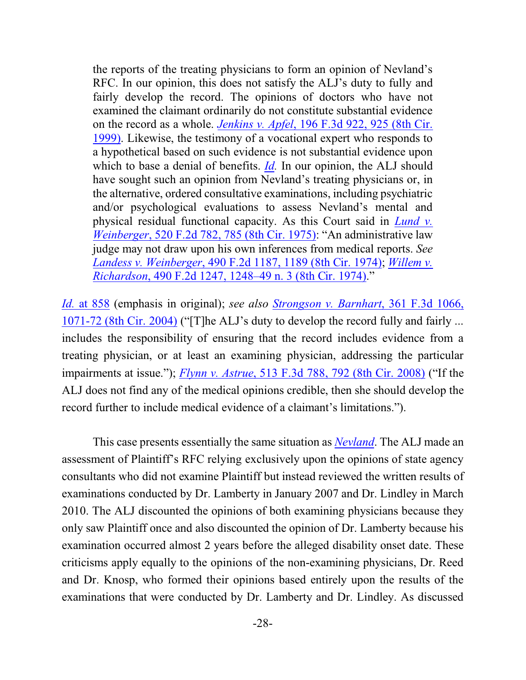the reports of the treating physicians to form an opinion of Nevland's RFC. In our opinion, this does not satisfy the ALJ's duty to fully and fairly develop the record. The opinions of doctors who have not examined the claimant ordinarily do not constitute substantial evidence on the record as a whole. *Jenkins v. Apfel*[, 196 F.3d 922, 925 \(8th Cir.](https://web2.westlaw.com/find/default.wl?mt=Westlaw&db=506&tc=-1&rp=%2ffind%2fdefault.wl&findtype=Y&ordoc=2000065661&serialnum=1999248976&vr=2.0&fn=_top&sv=Split&tf=-1&referencepositiontype=S&pbc=F771977E&referenceposition=925&rs=WLW13.10) [1999\)](https://web2.westlaw.com/find/default.wl?mt=Westlaw&db=506&tc=-1&rp=%2ffind%2fdefault.wl&findtype=Y&ordoc=2000065661&serialnum=1999248976&vr=2.0&fn=_top&sv=Split&tf=-1&referencepositiontype=S&pbc=F771977E&referenceposition=925&rs=WLW13.10). Likewise, the testimony of a vocational expert who responds to a hypothetical based on such evidence is not substantial evidence upon which to base a denial of benefits. *[Id](https://web2.westlaw.com/find/default.wl?mt=Westlaw&db=506&tc=-1&rp=%2ffind%2fdefault.wl&findtype=Y&ordoc=2000065661&serialnum=1999248976&vr=2.0&fn=_top&sv=Split&tf=-1&referencepositiontype=S&pbc=F771977E&referenceposition=925&rs=WLW13.10).* In our opinion, the ALJ should have sought such an opinion from Nevland's treating physicians or, in the alternative, ordered consultative examinations, including psychiatric and/or psychological evaluations to assess Nevland's mental and physical residual functional capacity. As this Court said in *[Lund v.](https://web2.westlaw.com/find/default.wl?mt=Westlaw&db=350&tc=-1&rp=%2ffind%2fdefault.wl&findtype=Y&ordoc=2000065661&serialnum=1975111908&vr=2.0&fn=_top&sv=Split&tf=-1&referencepositiontype=S&pbc=F771977E&referenceposition=785&rs=WLW13.10) Weinberger*[, 520 F.2d 782, 785 \(8th Cir. 1975\)](https://web2.westlaw.com/find/default.wl?mt=Westlaw&db=350&tc=-1&rp=%2ffind%2fdefault.wl&findtype=Y&ordoc=2000065661&serialnum=1975111908&vr=2.0&fn=_top&sv=Split&tf=-1&referencepositiontype=S&pbc=F771977E&referenceposition=785&rs=WLW13.10): "An administrative law judge may not draw upon his own inferences from medical reports. *See Landess v. Weinberger*[, 490 F.2d 1187, 1189 \(8th Cir. 1974\)](https://web2.westlaw.com/find/default.wl?mt=Westlaw&db=350&tc=-1&rp=%2ffind%2fdefault.wl&findtype=Y&ordoc=2000065661&serialnum=1973112859&vr=2.0&fn=_top&sv=Split&tf=-1&referencepositiontype=S&pbc=F771977E&referenceposition=1189&rs=WLW13.10); *[Willem v.](https://web2.westlaw.com/find/default.wl?mt=Westlaw&db=350&tc=-1&rp=%2ffind%2fdefault.wl&findtype=Y&ordoc=2000065661&serialnum=1974109031&vr=2.0&fn=_top&sv=Split&tf=-1&referencepositiontype=S&pbc=F771977E&referenceposition=1248&rs=WLW13.10) Richardson*[, 490 F.2d 1247, 1248–49 n. 3 \(8th Cir. 1974\)](https://web2.westlaw.com/find/default.wl?mt=Westlaw&db=350&tc=-1&rp=%2ffind%2fdefault.wl&findtype=Y&ordoc=2000065661&serialnum=1974109031&vr=2.0&fn=_top&sv=Split&tf=-1&referencepositiontype=S&pbc=F771977E&referenceposition=1248&rs=WLW13.10)."

*Id.* [at 858](https://web2.westlaw.com/find/default.wl?cite=204+F.3d+853+&rs=WLW13.10&vr=2.0&rp=%2ffind%2fdefault.wl&sv=Split&fn=_top&mt=Westlaw) (emphasis in original); *see also [Strongson v. Barnhart](https://web2.westlaw.com/find/default.wl?cite=361+F.3d+1071&rs=WLW13.10&vr=2.0&rp=%2ffind%2fdefault.wl&sv=Split&fn=_top&mt=Westlaw)*, 361 F.3d 1066, [1071-72 \(8th Cir.](https://web2.westlaw.com/find/default.wl?cite=361+F.3d+1071&rs=WLW13.10&vr=2.0&rp=%2ffind%2fdefault.wl&sv=Split&fn=_top&mt=Westlaw) 2004) ("[T]he ALJ's duty to develop the record fully and fairly ... includes the responsibility of ensuring that the record includes evidence from a treating physician, or at least an examining physician, addressing the particular impairments at issue."); *Flynn v. Astrue*, 513 F.3d 788, [792 \(8th Cir. 2008\)](https://web2.westlaw.com/find/default.wl?cite=513+F.3d+792+&rs=WLW13.10&vr=2.0&rp=%2ffind%2fdefault.wl&sv=Split&fn=_top&mt=Westlaw) ("If the ALJ does not find any of the medical opinions credible, then she should develop the record further to include medical evidence of a claimant's limitations.").

This case presents essentially the same situation as *[Nevland](https://web2.westlaw.com/find/default.wl?cite=204+F.3d+853+&rs=WLW13.10&vr=2.0&rp=%2ffind%2fdefault.wl&sv=Split&fn=_top&mt=Westlaw)*. The ALJ made an assessment of Plaintiff's RFC relying exclusively upon the opinions of state agency consultants who did not examine Plaintiff but instead reviewed the written results of examinations conducted by Dr. Lamberty in January 2007 and Dr. Lindley in March 2010. The ALJ discounted the opinions of both examining physicians because they only saw Plaintiff once and also discounted the opinion of Dr. Lamberty because his examination occurred almost 2 years before the alleged disability onset date. These criticisms apply equally to the opinions of the non-examining physicians, Dr. Reed and Dr. Knosp, who formed their opinions based entirely upon the results of the examinations that were conducted by Dr. Lamberty and Dr. Lindley. As discussed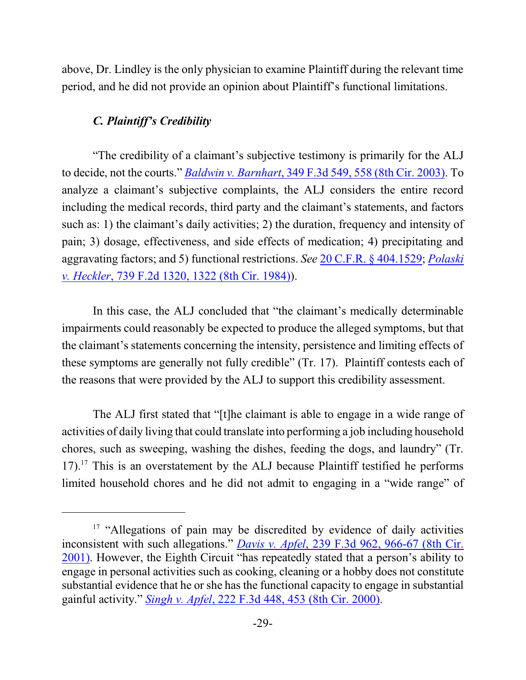above, Dr. Lindley is the only physician to examine Plaintiff during the relevant time period, and he did not provide an opinion about Plaintiff's functional limitations.

# *C. Plaintiff's Credibility*

"The credibility of a claimant's subjective testimony is primarily for the ALJ to decide, not the courts." *Baldwin v. Barnhart*[, 349 F.3d 549, 558 \(8th Cir. 2003\)](http://web2.westlaw.com/find/default.wl?cite=349+F.3d+549&rs=WLW12.01&vr=2.0&rp=%2ffind%2fdefault.wl&sv=Split&fn=_top&mt=Westlaw). To analyze a claimant's subjective complaints, the ALJ considers the entire record including the medical records, third party and the claimant's statements, and factors such as: 1) the claimant's daily activities; 2) the duration, frequency and intensity of pain; 3) dosage, effectiveness, and side effects of medication; 4) precipitating and aggravating factors; and 5) functional restrictions. *See* [20 C.F.R. §](http://web2.westlaw.com/find/default.wl?cite=20+C.F.R.+%c2%a7+404.1529&rs=WLW12.01&vr=2.0&rp=%2ffind%2fdefault.wl&sv=Split&fn=_top&mt=Westlaw) 404.1529; *[Polaski](http://web2.westlaw.com/find/default.wl?cite=739+F.2d+1320&rs=WLW12.01&vr=2.0&rp=%2ffind%2fdefault.wl&sv=Split&fn=_top&mt=Westlaw) v. Heckler*[, 739 F.2d 1320, 1322 \(8th Cir. 1984\)](http://web2.westlaw.com/find/default.wl?cite=739+F.2d+1320&rs=WLW12.01&vr=2.0&rp=%2ffind%2fdefault.wl&sv=Split&fn=_top&mt=Westlaw)).

In this case, the ALJ concluded that "the claimant's medically determinable impairments could reasonably be expected to produce the alleged symptoms, but that the claimant's statements concerning the intensity, persistence and limiting effects of these symptoms are generally not fully credible" (Tr. 17). Plaintiff contests each of the reasons that were provided by the ALJ to support this credibility assessment.

The ALJ first stated that "[t]he claimant is able to engage in a wide range of activities of daily living that could translate into performing a job including household chores, such as sweeping, washing the dishes, feeding the dogs, and laundry" (Tr.  $17$ ).<sup>17</sup> This is an overstatement by the ALJ because Plaintiff testified he performs limited household chores and he did not admit to engaging in a "wide range" of

<sup>&</sup>lt;sup>17</sup> "Allegations of pain may be discredited by evidence of daily activities inconsistent with such allegations." *Davis v. Apfel*, [239 F.3d 962, 966-67 \(8th Cir.](https://web2.westlaw.com/find/default.wl?cite=239+F.3d+966&rs=WLW13.10&vr=2.0&rp=%2ffind%2fdefault.wl&sv=Split&fn=_top&mt=Westlaw) [2001\)](https://web2.westlaw.com/find/default.wl?cite=239+F.3d+966&rs=WLW13.10&vr=2.0&rp=%2ffind%2fdefault.wl&sv=Split&fn=_top&mt=Westlaw). However, the Eighth Circuit "has repeatedly stated that a person's ability to engage in personal activities such as cooking, cleaning or a hobby does not constitute substantial evidence that he or she has the functional capacity to engage in substantial gainful activity." *Singh v. Apfel*[, 222 F.3d 448, 453 \(8th Cir. 2000\)](https://web2.westlaw.com/find/default.wl?cite=222+F.3d+448+&rs=WLW13.10&vr=2.0&rp=%2ffind%2fdefault.wl&sv=Split&fn=_top&mt=Westlaw).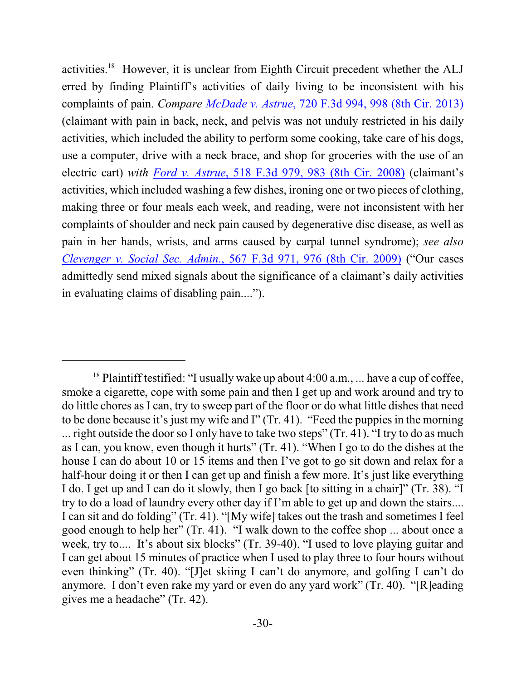activities.<sup>18</sup> However, it is unclear from Eighth Circuit precedent whether the ALJ erred by finding Plaintiff's activities of daily living to be inconsistent with his complaints of pain. *Compare McDade v. Astrue*[, 720 F.3d 994, 998 \(8th Cir. 2013\)](https://web2.westlaw.com/find/default.wl?cite=720+F.3d+998+&rs=WLW13.10&vr=2.0&rp=%2ffind%2fdefault.wl&sv=Split&fn=_top&mt=Westlaw) (claimant with pain in back, neck, and pelvis was not unduly restricted in his daily activities, which included the ability to perform some cooking, take care of his dogs, use a computer, drive with a neck brace, and shop for groceries with the use of an electric cart) *with Ford v. Astrue*[, 518 F.3d 979, 983 \(8th Cir. 2008\)](https://web2.westlaw.com/find/default.wl?cite=518+F.3d+979&rs=WLW13.10&vr=2.0&rp=%2ffind%2fdefault.wl&sv=Split&fn=_top&mt=Westlaw) (claimant's activities, which included washing a few dishes, ironing one or two pieces of clothing, making three or four meals each week, and reading, were not inconsistent with her complaints of shoulder and neck pain caused by degenerative disc disease, as well as pain in her hands, wrists, and arms caused by carpal tunnel syndrome); *see also Clevenger v. Social Sec. Admin*[., 567 F.3d 971, 976 \(8th Cir. 2009\)](https://web2.westlaw.com/find/default.wl?cite=567+F.3d+971&rs=WLW13.10&vr=2.0&rp=%2ffind%2fdefault.wl&sv=Split&fn=_top&mt=Westlaw) ("Our cases admittedly send mixed signals about the significance of a claimant's daily activities in evaluating claims of disabling pain....").

<sup>&</sup>lt;sup>18</sup> Plaintiff testified: "I usually wake up about  $4:00$  a.m., ... have a cup of coffee, smoke a cigarette, cope with some pain and then I get up and work around and try to do little chores as I can, try to sweep part of the floor or do what little dishes that need to be done because it's just my wife and I" (Tr. 41). "Feed the puppies in the morning ... right outside the door so I only have to take two steps" (Tr. 41). "I try to do as much as I can, you know, even though it hurts" (Tr. 41). "When I go to do the dishes at the house I can do about 10 or 15 items and then I've got to go sit down and relax for a half-hour doing it or then I can get up and finish a few more. It's just like everything I do. I get up and I can do it slowly, then I go back [to sitting in a chair]" (Tr. 38). "I try to do a load of laundry every other day if I'm able to get up and down the stairs.... I can sit and do folding" (Tr. 41). "[My wife] takes out the trash and sometimes I feel good enough to help her" (Tr. 41). "I walk down to the coffee shop ... about once a week, try to.... It's about six blocks" (Tr. 39-40). "I used to love playing guitar and I can get about 15 minutes of practice when I used to play three to four hours without even thinking" (Tr. 40). "[J]et skiing I can't do anymore, and golfing I can't do anymore. I don't even rake my yard or even do any yard work" (Tr. 40). "[R]eading gives me a headache" (Tr. 42).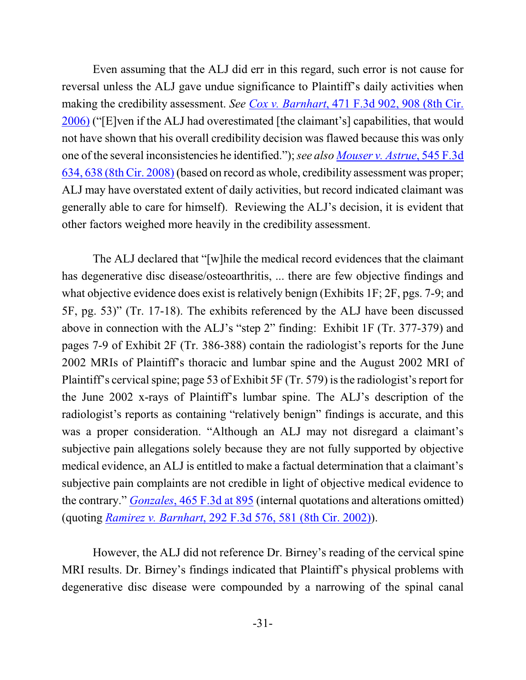Even assuming that the ALJ did err in this regard, such error is not cause for reversal unless the ALJ gave undue significance to Plaintiff's daily activities when making the credibility assessment. *See Cox v. Barnhart*, [471 F.3d 902, 908 \(8th Cir.](http://web2.westlaw.com/find/default.wl?cite=471+F.3d+902&rs=WLW12.04&vr=2.0&rp=%2ffind%2fdefault.wl&sv=Split&fn=_top&mt=Westlaw) [2006\)](http://web2.westlaw.com/find/default.wl?cite=471+F.3d+902&rs=WLW12.04&vr=2.0&rp=%2ffind%2fdefault.wl&sv=Split&fn=_top&mt=Westlaw) ("[E]ven if the ALJ had overestimated [the claimant's] capabilities, that would not have shown that his overall credibility decision was flawed because this was only one of the several inconsistencies he identified."); *see also [Mouser v. Astrue](https://web2.westlaw.com/find/default.wl?cite=545+F.3d+638&rs=WLW13.10&vr=2.0&rp=%2ffind%2fdefault.wl&sv=Split&fn=_top&mt=Westlaw)*, 545 F.3d [634, 638 \(8th Cir. 2008\)](https://web2.westlaw.com/find/default.wl?cite=545+F.3d+638&rs=WLW13.10&vr=2.0&rp=%2ffind%2fdefault.wl&sv=Split&fn=_top&mt=Westlaw) (based on record as whole, credibility assessment was proper; ALJ may have overstated extent of daily activities, but record indicated claimant was generally able to care for himself). Reviewing the ALJ's decision, it is evident that other factors weighed more heavily in the credibility assessment.

The ALJ declared that "[w]hile the medical record evidences that the claimant has degenerative disc disease/osteoarthritis, ... there are few objective findings and what objective evidence does exist is relatively benign (Exhibits 1F; 2F, pgs. 7-9; and 5F, pg. 53)" (Tr. 17-18). The exhibits referenced by the ALJ have been discussed above in connection with the ALJ's "step 2" finding: Exhibit 1F (Tr. 377-379) and pages 7-9 of Exhibit 2F (Tr. 386-388) contain the radiologist's reports for the June 2002 MRIs of Plaintiff's thoracic and lumbar spine and the August 2002 MRI of Plaintiff's cervical spine; page 53 of Exhibit 5F (Tr. 579) is the radiologist's report for the June 2002 x-rays of Plaintiff's lumbar spine. The ALJ's description of the radiologist's reports as containing "relatively benign" findings is accurate, and this was a proper consideration. "Although an ALJ may not disregard a claimant's subjective pain allegations solely because they are not fully supported by objective medical evidence, an ALJ is entitled to make a factual determination that a claimant's subjective pain complaints are not credible in light of objective medical evidence to the contrary." *Gonzales*[, 465 F.3d at 895](https://web2.westlaw.com/find/default.wl?cite=465+F.3d+895+&rs=WLW13.10&vr=2.0&rp=%2ffind%2fdefault.wl&sv=Split&fn=_top&mt=Westlaw) (internal quotations and alterations omitted) (quoting *Ramirez v. Barnhart*[, 292 F.3d 576, 581 \(8th Cir. 2002\)](https://web2.westlaw.com/find/default.wl?cite=292+F.3d+581+&rs=WLW13.10&vr=2.0&rp=%2ffind%2fdefault.wl&sv=Split&fn=_top&mt=Westlaw)).

However, the ALJ did not reference Dr. Birney's reading of the cervical spine MRI results. Dr. Birney's findings indicated that Plaintiff's physical problems with degenerative disc disease were compounded by a narrowing of the spinal canal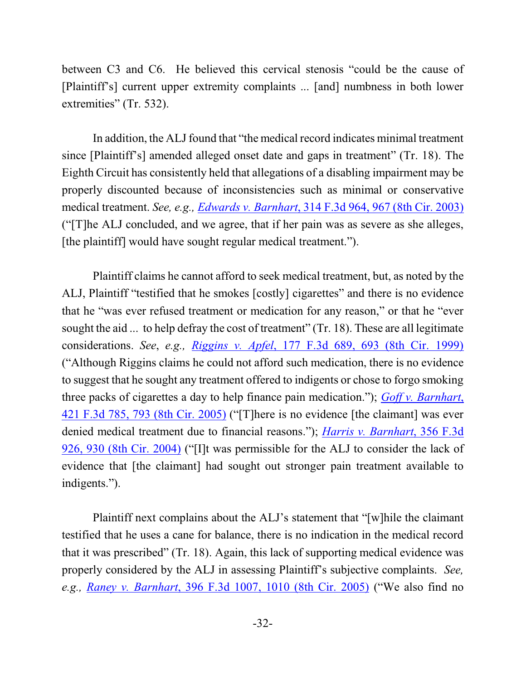between C3 and C6. He believed this cervical stenosis "could be the cause of [Plaintiff's] current upper extremity complaints ... [and] numbness in both lower extremities" (Tr. 532).

In addition, the ALJ found that "the medical record indicates minimal treatment since [Plaintiff's] amended alleged onset date and gaps in treatment" (Tr. 18). The Eighth Circuit has consistently held that allegations of a disabling impairment may be properly discounted because of inconsistencies such as minimal or conservative medical treatment. *See, e.g., Edwards v. Barnhart*, [314 F.3d 964, 967 \(8th Cir. 2003\)](http://web2.westlaw.com/find/default.wl?cite=314+F.3d+967+&rs=WLW12.01&vr=2.0&rp=%2ffind%2fdefault.wl&sv=Split&fn=_top&mt=Westlaw) ("[T]he ALJ concluded, and we agree, that if her pain was as severe as she alleges, [the plaintiff] would have sought regular medical treatment.").

Plaintiff claims he cannot afford to seek medical treatment, but, as noted by the ALJ, Plaintiff "testified that he smokes [costly] cigarettes" and there is no evidence that he "was ever refused treatment or medication for any reason," or that he "ever sought the aid ... to help defray the cost of treatment" (Tr. 18). These are all legitimate considerations. *See*, *e.g., Riggins v. Apfel*, [177 F.3d 689, 693 \(8th Cir.](https://web2.westlaw.com/find/default.wl?cite=177+F.3d+693&rs=WLW13.10&vr=2.0&rp=%2ffind%2fdefault.wl&sv=Split&fn=_top&mt=Westlaw) 1999) ("Although Riggins claims he could not afford such medication, there is no evidence to suggest that he sought any treatment offered to indigents or chose to forgo smoking three packs of cigarettes a day to help finance pain medication."); *[Goff v. Barnhart](http://web2.westlaw.com/find/default.wl?cite=421+F.3d+793&rs=WLW12.01&vr=2.0&rp=%2ffind%2fdefault.wl&sv=Split&fn=_top&mt=Westlaw)*, [421 F.3d 785, 793 \(8th Cir. 2005\)](http://web2.westlaw.com/find/default.wl?cite=421+F.3d+793&rs=WLW12.01&vr=2.0&rp=%2ffind%2fdefault.wl&sv=Split&fn=_top&mt=Westlaw) ("[T]here is no evidence [the claimant] was ever denied medical treatment due to financial reasons."); *[Harris v. Barnhart](https://web2.westlaw.com/find/default.wl?cite=356+F.3d+930&rs=WLW13.10&vr=2.0&rp=%2ffind%2fdefault.wl&sv=Split&fn=_top&mt=Westlaw)*, 356 F.3d [926, 930 \(8th Cir. 2004\)](https://web2.westlaw.com/find/default.wl?cite=356+F.3d+930&rs=WLW13.10&vr=2.0&rp=%2ffind%2fdefault.wl&sv=Split&fn=_top&mt=Westlaw) ("[I]t was permissible for the ALJ to consider the lack of evidence that [the claimant] had sought out stronger pain treatment available to indigents.").

Plaintiff next complains about the ALJ's statement that "[w]hile the claimant testified that he uses a cane for balance, there is no indication in the medical record that it was prescribed" (Tr. 18). Again, this lack of supporting medical evidence was properly considered by the ALJ in assessing Plaintiff's subjective complaints. *See, e.g., Raney v. Barnhart*, [396 F.3d 1007, 1010 \(8th Cir. 2005\)](https://web2.westlaw.com/find/default.wl?cite=396+F.3d+1010+&rs=WLW13.10&vr=2.0&rp=%2ffind%2fdefault.wl&sv=Split&fn=_top&mt=Westlaw) ("We also find no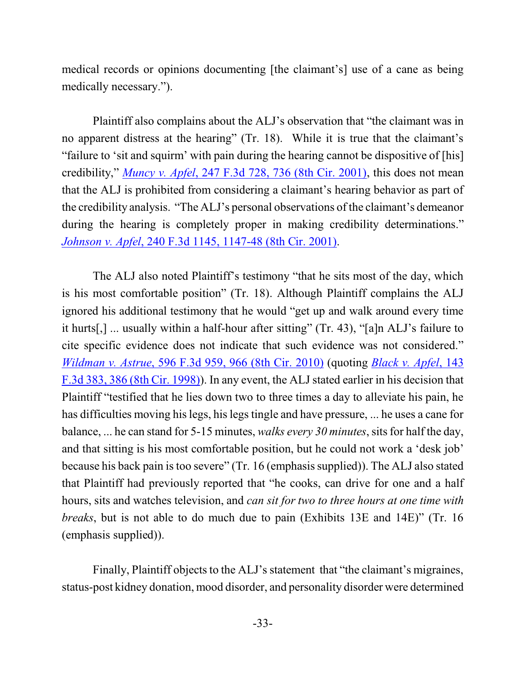medical records or opinions documenting [the claimant's] use of a cane as being medically necessary.").

Plaintiff also complains about the ALJ's observation that "the claimant was in no apparent distress at the hearing" (Tr. 18). While it is true that the claimant's "failure to 'sit and squirm' with pain during the hearing cannot be dispositive of [his] credibility," *Muncy v. Apfel*[, 247 F.3d 728, 736 \(8th Cir. 2001\)](https://web2.westlaw.com/find/default.wl?cite=247+F.3d+728&rs=WLW13.10&vr=2.0&rp=%2ffind%2fdefault.wl&sv=Split&fn=_top&mt=Westlaw), this does not mean that the ALJ is prohibited from considering a claimant's hearing behavior as part of the credibility analysis. "The ALJ's personal observations of the claimant's demeanor during the hearing is completely proper in making credibility determinations." *Johnson v. Apfel*[, 240 F.3d 1145, 1147-48 \(8th Cir. 2001\)](https://web2.westlaw.com/find/default.wl?cite=240+F.3d+1147&rs=WLW13.10&vr=2.0&rp=%2ffind%2fdefault.wl&sv=Split&fn=_top&mt=Westlaw).

The ALJ also noted Plaintiff's testimony "that he sits most of the day, which is his most comfortable position" (Tr. 18). Although Plaintiff complains the ALJ ignored his additional testimony that he would "get up and walk around every time it hurts[,] ... usually within a half-hour after sitting" (Tr. 43), "[a]n ALJ's failure to cite specific evidence does not indicate that such evidence was not considered." *Wildman v. Astrue*[, 596 F.3d 959, 966 \(8th Cir. 2010\)](https://web2.westlaw.com/find/default.wl?cite=596+F.3d+966+&rs=WLW13.10&vr=2.0&rp=%2ffind%2fdefault.wl&sv=Split&fn=_top&mt=Westlaw) (quoting *Black [v. Apfel](https://web2.westlaw.com/find/default.wl?mt=Westlaw&db=506&tc=-1&rp=%2ffind%2fdefault.wl&findtype=Y&ordoc=2021490319&serialnum=1998093805&vr=2.0&fn=_top&sv=Split&tf=-1&referencepositiontype=S&pbc=FA9DFCBE&referenceposition=386&rs=WLW13.10)*, 143 [F.3d 383, 386 \(8th Cir. 1998\)](https://web2.westlaw.com/find/default.wl?mt=Westlaw&db=506&tc=-1&rp=%2ffind%2fdefault.wl&findtype=Y&ordoc=2021490319&serialnum=1998093805&vr=2.0&fn=_top&sv=Split&tf=-1&referencepositiontype=S&pbc=FA9DFCBE&referenceposition=386&rs=WLW13.10)). In any event, the ALJ stated earlier in his decision that Plaintiff "testified that he lies down two to three times a day to alleviate his pain, he has difficulties moving his legs, his legs tingle and have pressure, ... he uses a cane for balance, ... he can stand for 5-15 minutes, *walks every* 30 minutes, sits for half the day, and that sitting is his most comfortable position, but he could not work a 'desk job' because his back pain is too severe" (Tr. 16 (emphasis supplied)). The ALJ also stated that Plaintiff had previously reported that "he cooks, can drive for one and a half hours, sits and watches television, and *can sit for two to three hours at one time with breaks*, but is not able to do much due to pain (Exhibits 13E and 14E)" (Tr. 16 (emphasis supplied)).

Finally, Plaintiff objects to the ALJ's statement that "the claimant's migraines, status-post kidney donation, mood disorder, and personality disorder were determined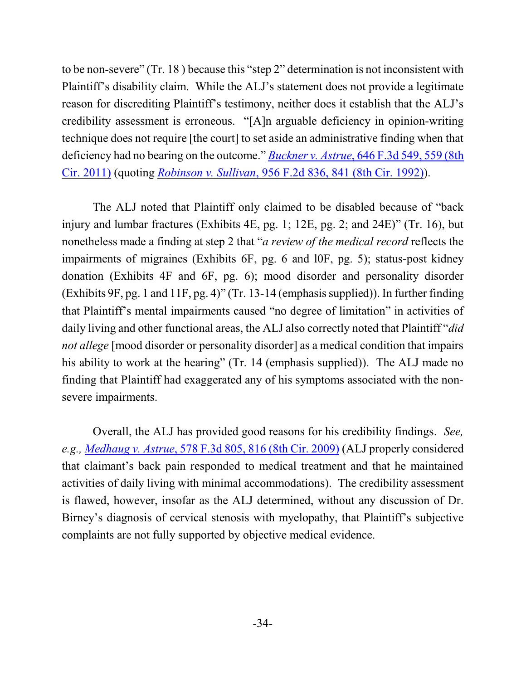to be non-severe" (Tr. 18 ) because this "step 2" determination is not inconsistent with Plaintiff's disability claim. While the ALJ's statement does not provide a legitimate reason for discrediting Plaintiff's testimony, neither does it establish that the ALJ's credibility assessment is erroneous. "[A]n arguable deficiency in opinion-writing technique does not require [the court] to set aside an administrative finding when that deficiency had no bearing on the outcome." *Buckner v. Astrue*[, 646 F.3d 549, 559 \(8th](http://web2.westlaw.com/find/default.wl?cite=646+F.3d+559&rs=WLW13.04&vr=2.0&rp=%2ffind%2fdefault.wl&sv=Split&fn=_top&mt=Westlaw) [Cir. 2011\)](http://web2.westlaw.com/find/default.wl?cite=646+F.3d+559&rs=WLW13.04&vr=2.0&rp=%2ffind%2fdefault.wl&sv=Split&fn=_top&mt=Westlaw) (quoting *Robinson v. Sullivan*[, 956 F.2d 836, 841 \(8th Cir. 1992\)](http://web2.westlaw.com/find/default.wl?mt=Westlaw&db=350&tc=-1&rp=%2ffind%2fdefault.wl&findtype=Y&ordoc=2025707618&serialnum=1992040339&vr=2.0&fn=_top&sv=Split&tf=-1&referencepositiontype=S&pbc=12955AC1&referenceposition=841&rs=WLW13.04)).

The ALJ noted that Plaintiff only claimed to be disabled because of "back injury and lumbar fractures (Exhibits 4E, pg. 1; 12E, pg. 2; and 24E)" (Tr. 16), but nonetheless made a finding at step 2 that "*a review of the medical record* reflects the impairments of migraines (Exhibits 6F, pg. 6 and l0F, pg. 5); status-post kidney donation (Exhibits 4F and 6F, pg. 6); mood disorder and personality disorder (Exhibits 9F, pg. 1 and 11F, pg. 4)" (Tr. 13-14 (emphasis supplied)). In further finding that Plaintiff's mental impairments caused "no degree of limitation" in activities of daily living and other functional areas, the ALJ also correctly noted that Plaintiff "*did not allege* [mood disorder or personality disorder] as a medical condition that impairs his ability to work at the hearing" (Tr. 14 (emphasis supplied)). The ALJ made no finding that Plaintiff had exaggerated any of his symptoms associated with the nonsevere impairments.

Overall, the ALJ has provided good reasons for his credibility findings. *See, e.g., Medhaug v. Astrue*[, 578 F.3d 805, 816 \(8th Cir. 2009\)](https://web2.westlaw.com/find/default.wl?rs=WLW11.07&rp=%2ffind%2fdefault.wl&vr=2.0&fn=_top&mt=Westlaw&cite=578+F.3d+816+&sv=Split) (ALJ properly considered that claimant's back pain responded to medical treatment and that he maintained activities of daily living with minimal accommodations). The credibility assessment is flawed, however, insofar as the ALJ determined, without any discussion of Dr. Birney's diagnosis of cervical stenosis with myelopathy, that Plaintiff's subjective complaints are not fully supported by objective medical evidence.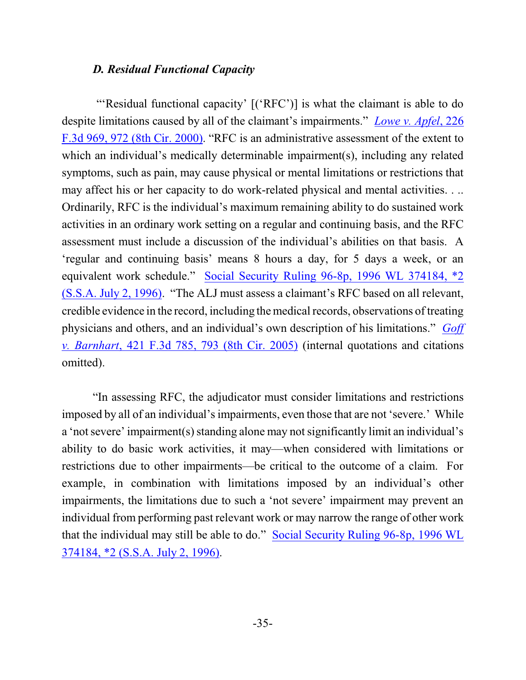#### *D. Residual Functional Capacity*

"'Residual functional capacity' [('RFC')] is what the claimant is able to do despite limitations caused by all of the claimant's impairments." *Lowe [v. Apfel](http://web2.westlaw.com/find/default.wl?cite=226+F.3d+972&rs=WLW13.04&vr=2.0&rp=%2ffind%2fdefault.wl&sv=Split&fn=_top&mt=Westlaw)*, 226 [F.3d 969, 972 \(8th Cir. 2000\)](http://web2.westlaw.com/find/default.wl?cite=226+F.3d+972&rs=WLW13.04&vr=2.0&rp=%2ffind%2fdefault.wl&sv=Split&fn=_top&mt=Westlaw). "RFC is an administrative assessment of the extent to which an individual's medically determinable impairment(s), including any related symptoms, such as pain, may cause physical or mental limitations or restrictions that may affect his or her capacity to do work-related physical and mental activities. . .. Ordinarily, RFC is the individual's maximum remaining ability to do sustained work activities in an ordinary work setting on a regular and continuing basis, and the RFC assessment must include a discussion of the individual's abilities on that basis. A 'regular and continuing basis' means 8 hours a day, for 5 days a week, or an equivalent work schedule." [Social Security Ruling 96-8p, 1996 WL 374184, \\*2](http://www.westlaw.com/find/default.wl?rs=CLWP3.0&vr=2.0&cite=1996+WL+374184) [\(S.S.A. July](http://www.westlaw.com/find/default.wl?rs=CLWP3.0&vr=2.0&cite=1996+WL+374184) 2, 1996). "The ALJ must assess a claimant's RFC based on all relevant, credible evidence in the record, including themedical records, observations of treating physicians and others, and an individual's own description of his limitations." *[Goff](http://www.westlaw.com/find/default.wl?rs=WLW9.05&ifm=NotSet&fn=_top&sv=Split&cite=421+f3d+793&vr=2.0&rp=%2ffind%2fdefault.wl&mt=Westlaw) v. Barnhart*, [421 F.3d 785, 793 \(8th Cir. 2005\)](http://www.westlaw.com/find/default.wl?rs=WLW9.05&ifm=NotSet&fn=_top&sv=Split&cite=421+f3d+793&vr=2.0&rp=%2ffind%2fdefault.wl&mt=Westlaw) (internal quotations and citations omitted).

"In assessing RFC, the adjudicator must consider limitations and restrictions imposed by all of an individual's impairments, even those that are not 'severe.' While a 'not severe' impairment(s) standing alone may not significantly limit an individual's ability to do basic work activities, it may—when considered with limitations or restrictions due to other impairments—be critical to the outcome of a claim. For example, in combination with limitations imposed by an individual's other impairments, the limitations due to such a 'not severe' impairment may prevent an individual from performing past relevant work or may narrow the range of other work that the individual may still be able to do." [Social Security](http://www.westlaw.com/find/default.wl?rs=CLWP3.0&vr=2.0&cite=1996+WL+374184) Ruling 96-8p, 1996 WL [374184, \\*2 \(S.S.A. July 2, 1996\)](http://www.westlaw.com/find/default.wl?rs=CLWP3.0&vr=2.0&cite=1996+WL+374184).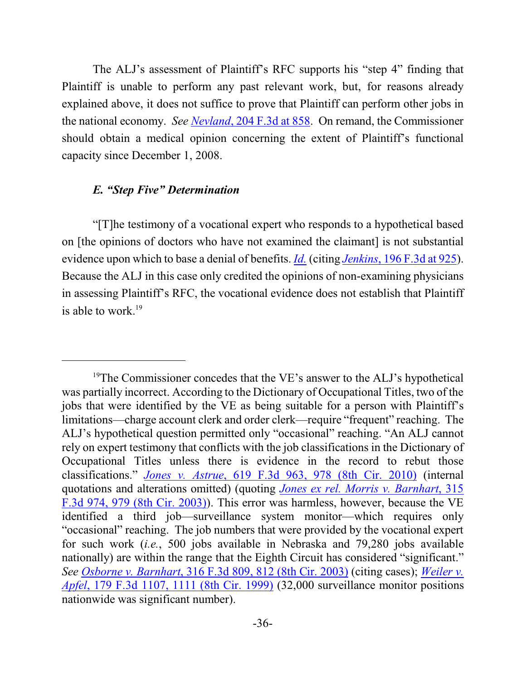The ALJ's assessment of Plaintiff's RFC supports his "step 4" finding that Plaintiff is unable to perform any past relevant work, but, for reasons already explained above, it does not suffice to prove that Plaintiff can perform other jobs in the national economy. *See Nevland*[, 204 F.3d at 858](https://web2.westlaw.com/find/default.wl?cite=204+F.3d+853&rs=WLW13.10&vr=2.0&rp=%2ffind%2fdefault.wl&sv=Split&fn=_top&mt=Westlaw). On remand, the Commissioner should obtain a medical opinion concerning the extent of Plaintiff's functional capacity since December 1, 2008.

### *E. "Step Five" Determination*

"[T]he testimony of a vocational expert who responds to a hypothetical based on [the opinions of doctors who have not examined the claimant] is not substantial evidence upon which to base a denial of benefits. *[Id.](https://web2.westlaw.com/find/default.wl?cite=204+F.3d+853&rs=WLW13.10&vr=2.0&rp=%2ffind%2fdefault.wl&sv=Split&fn=_top&mt=Westlaw)* (citing *Jenkins*[, 196 F.3d at 925](https://web2.westlaw.com/find/default.wl?mt=Westlaw&db=506&tc=-1&rp=%2ffind%2fdefault.wl&findtype=Y&ordoc=2000065661&serialnum=1999248976&vr=2.0&fn=_top&sv=Split&tf=-1&referencepositiontype=S&pbc=09EEB221&referenceposition=925&rs=WLW13.10)). Because the ALJ in this case only credited the opinions of non-examining physicians in assessing Plaintiff's RFC, the vocational evidence does not establish that Plaintiff is able to work. $19$ 

<sup>&</sup>lt;sup>19</sup>The Commissioner concedes that the VE's answer to the ALJ's hypothetical was partially incorrect. According to the Dictionary of Occupational Titles, two of the jobs that were identified by the VE as being suitable for a person with Plaintiff's limitations—charge account clerk and order clerk—require "frequent" reaching. The ALJ's hypothetical question permitted only "occasional" reaching. "An ALJ cannot rely on expert testimony that conflicts with the job classifications in the Dictionary of Occupational Titles unless there is evidence in the record to rebut those classifications." *Jones v. Astrue*[, 619 F.3d 963, 978 \(8th Cir. 2010\)](https://web2.westlaw.com/find/default.wl?cite=619+F.3d+978+&rs=WLW13.10&vr=2.0&rp=%2ffind%2fdefault.wl&sv=Split&fn=_top&mt=Westlaw) (internal quotations and alterations omitted) (quoting *Jones ex [rel. Morris v. Barnhart](https://web2.westlaw.com/find/default.wl?mt=Westlaw&db=506&tc=-1&rp=%2ffind%2fdefault.wl&findtype=Y&ordoc=2022882692&serialnum=2003072788&vr=2.0&fn=_top&sv=Split&tf=-1&referencepositiontype=S&pbc=49BE3AE2&referenceposition=979&rs=WLW13.10)*, 315 [F.3d 974, 979 \(8th Cir. 2003\)](https://web2.westlaw.com/find/default.wl?mt=Westlaw&db=506&tc=-1&rp=%2ffind%2fdefault.wl&findtype=Y&ordoc=2022882692&serialnum=2003072788&vr=2.0&fn=_top&sv=Split&tf=-1&referencepositiontype=S&pbc=49BE3AE2&referenceposition=979&rs=WLW13.10)). This error was harmless, however, because the VE identified a third job—surveillance system monitor—which requires only "occasional" reaching. The job numbers that were provided by the vocational expert for such work (*i.e.*, 500 jobs available in Nebraska and 79,280 jobs available nationally) are within the range that the Eighth Circuit has considered "significant." *See Osborne v. Barnhart*[, 316 F.3d 809, 812 \(8th Cir. 2003\)](https://web2.westlaw.com/find/default.wl?cite=316+F.3d+812+&rs=WLW13.10&vr=2.0&rp=%2ffind%2fdefault.wl&sv=Split&fn=_top&mt=Westlaw) (citing cases); *[Weiler v.](https://web2.westlaw.com/find/default.wl?cite=179+F.3d+1107&rs=WLW13.10&vr=2.0&rp=%2ffind%2fdefault.wl&sv=Split&fn=_top&mt=Westlaw) Apfel*, 179 F.3d [1107, 1111 \(8th Cir. 1999\)](https://web2.westlaw.com/find/default.wl?cite=179+F.3d+1107&rs=WLW13.10&vr=2.0&rp=%2ffind%2fdefault.wl&sv=Split&fn=_top&mt=Westlaw) (32,000 surveillance monitor positions nationwide was significant number).